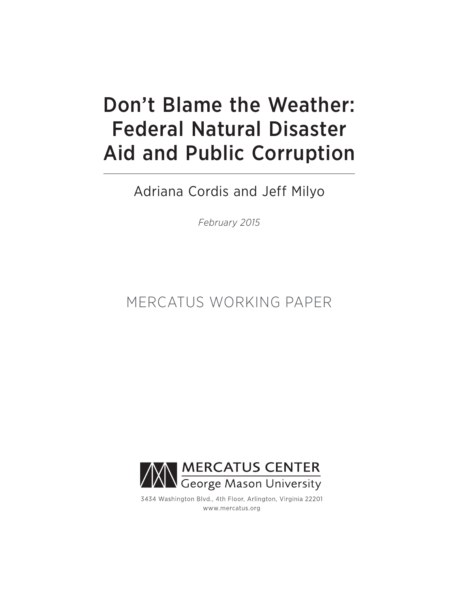# Don't Blame the Weather: Federal Natural Disaster Aid and Public Corruption

Adriana Cordis and Jeff Milyo

*February 2015*

# MERCATUS WORKING PAPER



3434 Washington Blvd., 4th Floor, Arlington, Virginia 22201 www.mercatus.org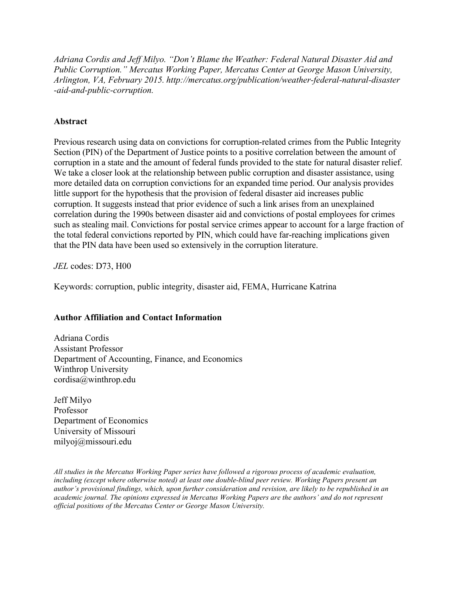*Adriana Cordis and Jeff Milyo. "Don't Blame the Weather: Federal Natural Disaster Aid and Public Corruption." Mercatus Working Paper, Mercatus Center at George Mason University, Arlington, VA, February 2015. [http://mercatus.org/publication/weather-federal-natural-disaster](http://mercatus.org/publication/weather-federal-natural-disaster-aid-and-public-corruption) [-aid-and-public-corruption.](http://mercatus.org/publication/weather-federal-natural-disaster-aid-and-public-corruption)*

# **Abstract**

Previous research using data on convictions for corruption-related crimes from the Public Integrity Section (PIN) of the Department of Justice points to a positive correlation between the amount of corruption in a state and the amount of federal funds provided to the state for natural disaster relief. We take a closer look at the relationship between public corruption and disaster assistance, using more detailed data on corruption convictions for an expanded time period. Our analysis provides little support for the hypothesis that the provision of federal disaster aid increases public corruption. It suggests instead that prior evidence of such a link arises from an unexplained correlation during the 1990s between disaster aid and convictions of postal employees for crimes such as stealing mail. Convictions for postal service crimes appear to account for a large fraction of the total federal convictions reported by PIN, which could have far-reaching implications given that the PIN data have been used so extensively in the corruption literature.

*JEL* codes: D73, H00

Keywords: corruption, public integrity, disaster aid, FEMA, Hurricane Katrina

# **Author Affiliation and Contact Information**

Adriana Cordis Assistant Professor Department of Accounting, Finance, and Economics Winthrop University [cordisa@winthrop.edu](mailto:cordisa@winthrop.edu)

Jeff Milyo Professor Department of Economics University of Missouri [milyoj@missouri.edu](mailto:cordisa@winthrop.edu)

*All studies in the Mercatus Working Paper series have followed a rigorous process of academic evaluation, including (except where otherwise noted) at least one double-blind peer review. Working Papers present an author's provisional findings, which, upon further consideration and revision, are likely to be republished in an academic journal. The opinions expressed in Mercatus Working Papers are the authors' and do not represent official positions of the Mercatus Center or George Mason University.*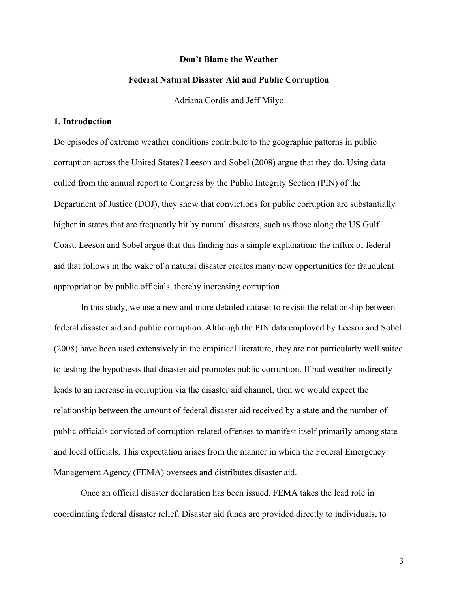#### **Don't Blame the Weather**

#### **Federal Natural Disaster Aid and Public Corruption**

Adriana Cordis and Jeff Milyo

#### **1. Introduction**

Do episodes of extreme weather conditions contribute to the geographic patterns in public corruption across the United States? Leeson and Sobel (2008) argue that they do. Using data culled from the annual report to Congress by the Public Integrity Section (PIN) of the Department of Justice (DOJ), they show that convictions for public corruption are substantially higher in states that are frequently hit by natural disasters, such as those along the US Gulf Coast. Leeson and Sobel argue that this finding has a simple explanation: the influx of federal aid that follows in the wake of a natural disaster creates many new opportunities for fraudulent appropriation by public officials, thereby increasing corruption.

In this study, we use a new and more detailed dataset to revisit the relationship between federal disaster aid and public corruption. Although the PIN data employed by Leeson and Sobel (2008) have been used extensively in the empirical literature, they are not particularly well suited to testing the hypothesis that disaster aid promotes public corruption. If bad weather indirectly leads to an increase in corruption via the disaster aid channel, then we would expect the relationship between the amount of federal disaster aid received by a state and the number of public officials convicted of corruption-related offenses to manifest itself primarily among state and local officials. This expectation arises from the manner in which the Federal Emergency Management Agency (FEMA) oversees and distributes disaster aid.

Once an official disaster declaration has been issued, FEMA takes the lead role in coordinating federal disaster relief. Disaster aid funds are provided directly to individuals, to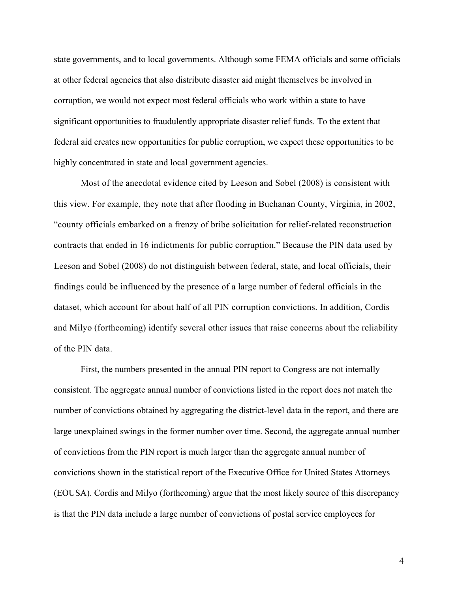state governments, and to local governments. Although some FEMA officials and some officials at other federal agencies that also distribute disaster aid might themselves be involved in corruption, we would not expect most federal officials who work within a state to have significant opportunities to fraudulently appropriate disaster relief funds. To the extent that federal aid creates new opportunities for public corruption, we expect these opportunities to be highly concentrated in state and local government agencies.

Most of the anecdotal evidence cited by Leeson and Sobel (2008) is consistent with this view. For example, they note that after flooding in Buchanan County, Virginia, in 2002, "county officials embarked on a frenzy of bribe solicitation for relief-related reconstruction contracts that ended in 16 indictments for public corruption." Because the PIN data used by Leeson and Sobel (2008) do not distinguish between federal, state, and local officials, their findings could be influenced by the presence of a large number of federal officials in the dataset, which account for about half of all PIN corruption convictions. In addition, Cordis and Milyo (forthcoming) identify several other issues that raise concerns about the reliability of the PIN data.

First, the numbers presented in the annual PIN report to Congress are not internally consistent. The aggregate annual number of convictions listed in the report does not match the number of convictions obtained by aggregating the district-level data in the report, and there are large unexplained swings in the former number over time. Second, the aggregate annual number of convictions from the PIN report is much larger than the aggregate annual number of convictions shown in the statistical report of the Executive Office for United States Attorneys (EOUSA). Cordis and Milyo (forthcoming) argue that the most likely source of this discrepancy is that the PIN data include a large number of convictions of postal service employees for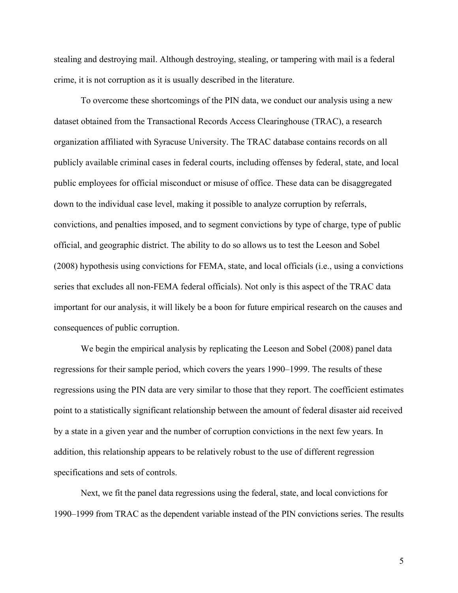stealing and destroying mail. Although destroying, stealing, or tampering with mail is a federal crime, it is not corruption as it is usually described in the literature.

To overcome these shortcomings of the PIN data, we conduct our analysis using a new dataset obtained from the Transactional Records Access Clearinghouse (TRAC), a research organization affiliated with Syracuse University. The TRAC database contains records on all publicly available criminal cases in federal courts, including offenses by federal, state, and local public employees for official misconduct or misuse of office. These data can be disaggregated down to the individual case level, making it possible to analyze corruption by referrals, convictions, and penalties imposed, and to segment convictions by type of charge, type of public official, and geographic district. The ability to do so allows us to test the Leeson and Sobel (2008) hypothesis using convictions for FEMA, state, and local officials (i.e., using a convictions series that excludes all non-FEMA federal officials). Not only is this aspect of the TRAC data important for our analysis, it will likely be a boon for future empirical research on the causes and consequences of public corruption.

We begin the empirical analysis by replicating the Leeson and Sobel (2008) panel data regressions for their sample period, which covers the years 1990–1999. The results of these regressions using the PIN data are very similar to those that they report. The coefficient estimates point to a statistically significant relationship between the amount of federal disaster aid received by a state in a given year and the number of corruption convictions in the next few years. In addition, this relationship appears to be relatively robust to the use of different regression specifications and sets of controls.

Next, we fit the panel data regressions using the federal, state, and local convictions for 1990–1999 from TRAC as the dependent variable instead of the PIN convictions series. The results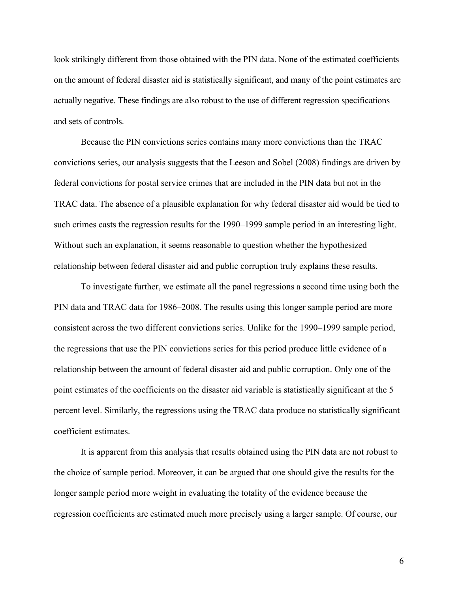look strikingly different from those obtained with the PIN data. None of the estimated coefficients on the amount of federal disaster aid is statistically significant, and many of the point estimates are actually negative. These findings are also robust to the use of different regression specifications and sets of controls.

Because the PIN convictions series contains many more convictions than the TRAC convictions series, our analysis suggests that the Leeson and Sobel (2008) findings are driven by federal convictions for postal service crimes that are included in the PIN data but not in the TRAC data. The absence of a plausible explanation for why federal disaster aid would be tied to such crimes casts the regression results for the 1990–1999 sample period in an interesting light. Without such an explanation, it seems reasonable to question whether the hypothesized relationship between federal disaster aid and public corruption truly explains these results.

To investigate further, we estimate all the panel regressions a second time using both the PIN data and TRAC data for 1986–2008. The results using this longer sample period are more consistent across the two different convictions series. Unlike for the 1990–1999 sample period, the regressions that use the PIN convictions series for this period produce little evidence of a relationship between the amount of federal disaster aid and public corruption. Only one of the point estimates of the coefficients on the disaster aid variable is statistically significant at the 5 percent level. Similarly, the regressions using the TRAC data produce no statistically significant coefficient estimates.

It is apparent from this analysis that results obtained using the PIN data are not robust to the choice of sample period. Moreover, it can be argued that one should give the results for the longer sample period more weight in evaluating the totality of the evidence because the regression coefficients are estimated much more precisely using a larger sample. Of course, our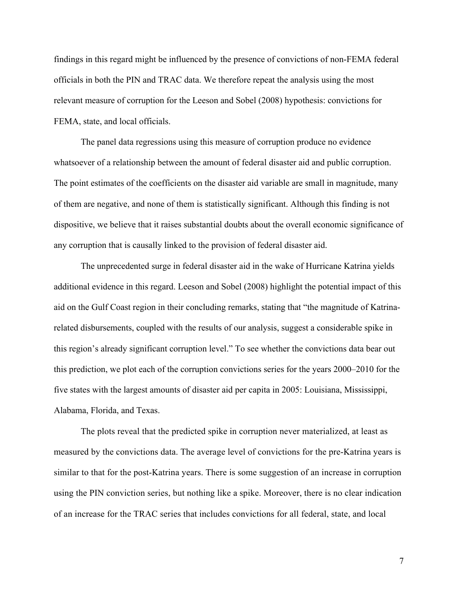findings in this regard might be influenced by the presence of convictions of non-FEMA federal officials in both the PIN and TRAC data. We therefore repeat the analysis using the most relevant measure of corruption for the Leeson and Sobel (2008) hypothesis: convictions for FEMA, state, and local officials.

The panel data regressions using this measure of corruption produce no evidence whatsoever of a relationship between the amount of federal disaster aid and public corruption. The point estimates of the coefficients on the disaster aid variable are small in magnitude, many of them are negative, and none of them is statistically significant. Although this finding is not dispositive, we believe that it raises substantial doubts about the overall economic significance of any corruption that is causally linked to the provision of federal disaster aid.

The unprecedented surge in federal disaster aid in the wake of Hurricane Katrina yields additional evidence in this regard. Leeson and Sobel (2008) highlight the potential impact of this aid on the Gulf Coast region in their concluding remarks, stating that "the magnitude of Katrinarelated disbursements, coupled with the results of our analysis, suggest a considerable spike in this region's already significant corruption level." To see whether the convictions data bear out this prediction, we plot each of the corruption convictions series for the years 2000–2010 for the five states with the largest amounts of disaster aid per capita in 2005: Louisiana, Mississippi, Alabama, Florida, and Texas.

The plots reveal that the predicted spike in corruption never materialized, at least as measured by the convictions data. The average level of convictions for the pre-Katrina years is similar to that for the post-Katrina years. There is some suggestion of an increase in corruption using the PIN conviction series, but nothing like a spike. Moreover, there is no clear indication of an increase for the TRAC series that includes convictions for all federal, state, and local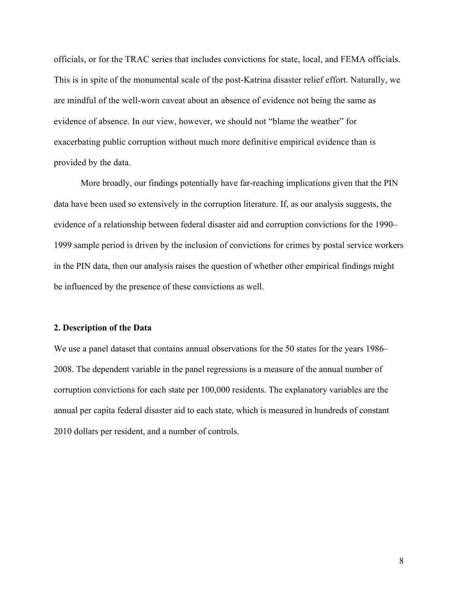officials, or for the TRAC series that includes convictions for state, local, and FEMA officials. This is in spite of the monumental scale of the post-Katrina disaster relief effort. Naturally, we are mindful of the well-worn caveat about an absence of evidence not being the same as evidence of absence. In our view, however, we should not "blame the weather" for exacerbating public corruption without much more definitive empirical evidence than is provided by the data.

More broadly, our findings potentially have far-reaching implications given that the PIN data have been used so extensively in the corruption literature. If, as our analysis suggests, the evidence of a relationship between federal disaster aid and corruption convictions for the 1990– 1999 sample period is driven by the inclusion of convictions for crimes by postal service workers in the PIN data, then our analysis raises the question of whether other empirical findings might be influenced by the presence of these convictions as well.

#### **2. Description of the Data**

We use a panel dataset that contains annual observations for the 50 states for the years 1986– 2008. The dependent variable in the panel regressions is a measure of the annual number of corruption convictions for each state per 100,000 residents. The explanatory variables are the annual per capita federal disaster aid to each state, which is measured in hundreds of constant 2010 dollars per resident, and a number of controls.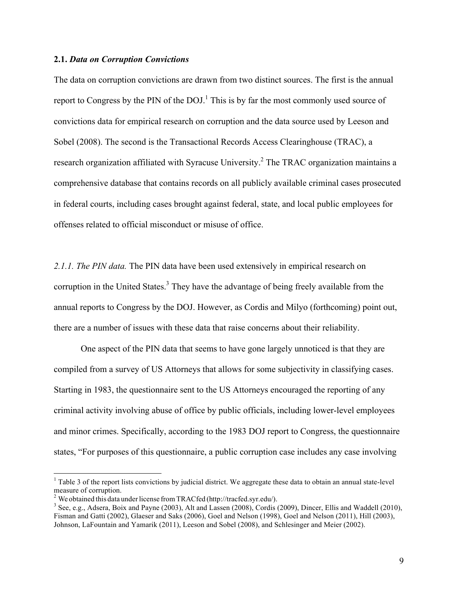#### **2.1.** *Data on Corruption Convictions*

The data on corruption convictions are drawn from two distinct sources. The first is the annual report to Congress by the PIN of the  $DOL<sup>1</sup>$ . This is by far the most commonly used source of convictions data for empirical research on corruption and the data source used by Leeson and Sobel (2008). The second is the Transactional Records Access Clearinghouse (TRAC), a research organization affiliated with Syracuse University.<sup>2</sup> The TRAC organization maintains a comprehensive database that contains records on all publicly available criminal cases prosecuted in federal courts, including cases brought against federal, state, and local public employees for offenses related to official misconduct or misuse of office.

*2.1.1. The PIN data.* The PIN data have been used extensively in empirical research on corruption in the United States.<sup>3</sup> They have the advantage of being freely available from the annual reports to Congress by the DOJ. However, as Cordis and Milyo (forthcoming) point out, there are a number of issues with these data that raise concerns about their reliability.

One aspect of the PIN data that seems to have gone largely unnoticed is that they are compiled from a survey of US Attorneys that allows for some subjectivity in classifying cases. Starting in 1983, the questionnaire sent to the US Attorneys encouraged the reporting of any criminal activity involving abuse of office by public officials, including lower-level employees and minor crimes. Specifically, according to the 1983 DOJ report to Congress, the questionnaire states, "For purposes of this questionnaire, a public corruption case includes any case involving

 $<sup>1</sup>$  Table 3 of the report lists convictions by judicial district. We aggregate these data to obtain an annual state-level</sup> measure of corruption.

<sup>&</sup>lt;sup>2</sup> We obtained this data under license from TRACfed [\(http://tracfed.syr.edu/\)](http://tracfed.syr.edu/).<br><sup>3</sup> See, e.g., Adsera, Boix and Payne (2003), Alt and Lassen (2008), Cordis (2009), Dincer, Ellis and Waddell (2010), Fisman and Gatti (2002), Glaeser and Saks (2006), Goel and Nelson (1998), Goel and Nelson (2011), Hill (2003), Johnson, LaFountain and Yamarik (2011), Leeson and Sobel (2008), and Schlesinger and Meier (2002).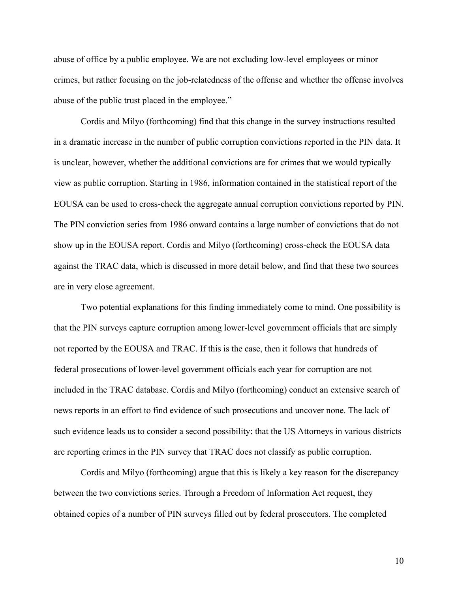abuse of office by a public employee. We are not excluding low-level employees or minor crimes, but rather focusing on the job-relatedness of the offense and whether the offense involves abuse of the public trust placed in the employee."

Cordis and Milyo (forthcoming) find that this change in the survey instructions resulted in a dramatic increase in the number of public corruption convictions reported in the PIN data. It is unclear, however, whether the additional convictions are for crimes that we would typically view as public corruption. Starting in 1986, information contained in the statistical report of the EOUSA can be used to cross-check the aggregate annual corruption convictions reported by PIN. The PIN conviction series from 1986 onward contains a large number of convictions that do not show up in the EOUSA report. Cordis and Milyo (forthcoming) cross-check the EOUSA data against the TRAC data, which is discussed in more detail below, and find that these two sources are in very close agreement.

Two potential explanations for this finding immediately come to mind. One possibility is that the PIN surveys capture corruption among lower-level government officials that are simply not reported by the EOUSA and TRAC. If this is the case, then it follows that hundreds of federal prosecutions of lower-level government officials each year for corruption are not included in the TRAC database. Cordis and Milyo (forthcoming) conduct an extensive search of news reports in an effort to find evidence of such prosecutions and uncover none. The lack of such evidence leads us to consider a second possibility: that the US Attorneys in various districts are reporting crimes in the PIN survey that TRAC does not classify as public corruption.

Cordis and Milyo (forthcoming) argue that this is likely a key reason for the discrepancy between the two convictions series. Through a Freedom of Information Act request, they obtained copies of a number of PIN surveys filled out by federal prosecutors. The completed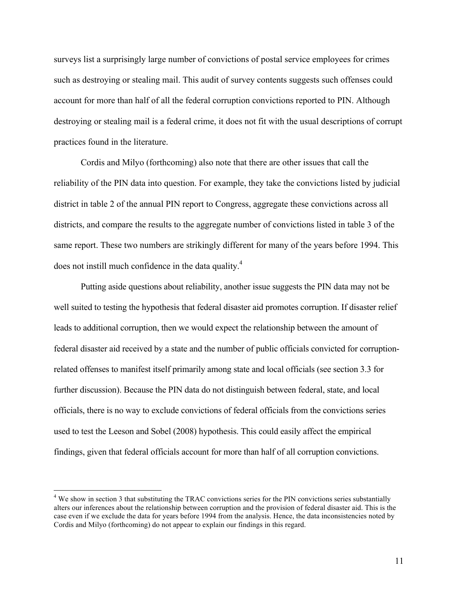surveys list a surprisingly large number of convictions of postal service employees for crimes such as destroying or stealing mail. This audit of survey contents suggests such offenses could account for more than half of all the federal corruption convictions reported to PIN. Although destroying or stealing mail is a federal crime, it does not fit with the usual descriptions of corrupt practices found in the literature.

Cordis and Milyo (forthcoming) also note that there are other issues that call the reliability of the PIN data into question. For example, they take the convictions listed by judicial district in table 2 of the annual PIN report to Congress, aggregate these convictions across all districts, and compare the results to the aggregate number of convictions listed in table 3 of the same report. These two numbers are strikingly different for many of the years before 1994. This does not instill much confidence in the data quality.4

Putting aside questions about reliability, another issue suggests the PIN data may not be well suited to testing the hypothesis that federal disaster aid promotes corruption. If disaster relief leads to additional corruption, then we would expect the relationship between the amount of federal disaster aid received by a state and the number of public officials convicted for corruptionrelated offenses to manifest itself primarily among state and local officials (see section 3.3 for further discussion). Because the PIN data do not distinguish between federal, state, and local officials, there is no way to exclude convictions of federal officials from the convictions series used to test the Leeson and Sobel (2008) hypothesis. This could easily affect the empirical findings, given that federal officials account for more than half of all corruption convictions.

<sup>&</sup>lt;sup>4</sup> We show in section 3 that substituting the TRAC convictions series for the PIN convictions series substantially alters our inferences about the relationship between corruption and the provision of federal disaster aid. This is the case even if we exclude the data for years before 1994 from the analysis. Hence, the data inconsistencies noted by Cordis and Milyo (forthcoming) do not appear to explain our findings in this regard.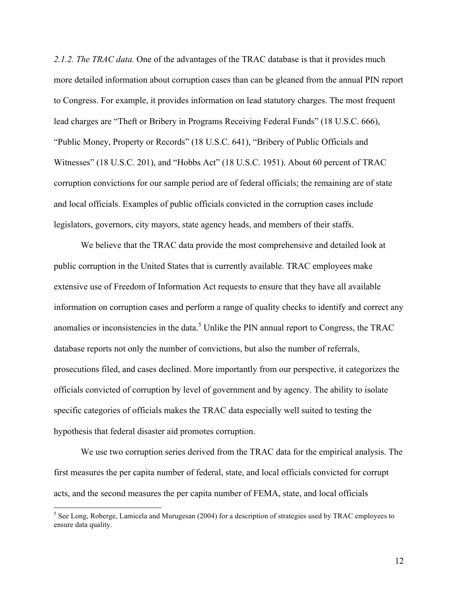*2.1.2. The TRAC data.* One of the advantages of the TRAC database is that it provides much more detailed information about corruption cases than can be gleaned from the annual PIN report to Congress. For example, it provides information on lead statutory charges. The most frequent lead charges are "Theft or Bribery in Programs Receiving Federal Funds" (18 U.S.C. 666), "Public Money, Property or Records" (18 U.S.C. 641), "Bribery of Public Officials and Witnesses" (18 U.S.C. 201), and "Hobbs Act" (18 U.S.C. 1951). About 60 percent of TRAC corruption convictions for our sample period are of federal officials; the remaining are of state and local officials. Examples of public officials convicted in the corruption cases include legislators, governors, city mayors, state agency heads, and members of their staffs.

We believe that the TRAC data provide the most comprehensive and detailed look at public corruption in the United States that is currently available. TRAC employees make extensive use of Freedom of Information Act requests to ensure that they have all available information on corruption cases and perform a range of quality checks to identify and correct any anomalies or inconsistencies in the data.<sup>5</sup> Unlike the PIN annual report to Congress, the TRAC database reports not only the number of convictions, but also the number of referrals, prosecutions filed, and cases declined. More importantly from our perspective, it categorizes the officials convicted of corruption by level of government and by agency. The ability to isolate specific categories of officials makes the TRAC data especially well suited to testing the hypothesis that federal disaster aid promotes corruption.

We use two corruption series derived from the TRAC data for the empirical analysis. The first measures the per capita number of federal, state, and local officials convicted for corrupt acts, and the second measures the per capita number of FEMA, state, and local officials

<sup>&</sup>lt;sup>5</sup> See Long, Roberge, Lamicela and Murugesan (2004) for a description of strategies used by TRAC employees to ensure data quality.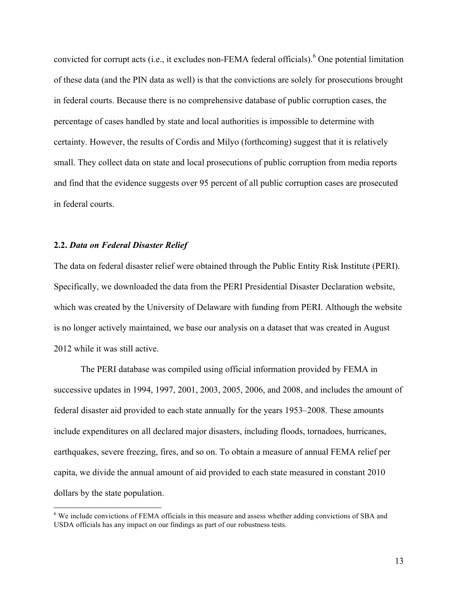convicted for corrupt acts (i.e., it excludes non-FEMA federal officials). <sup>6</sup> One potential limitation of these data (and the PIN data as well) is that the convictions are solely for prosecutions brought in federal courts. Because there is no comprehensive database of public corruption cases, the percentage of cases handled by state and local authorities is impossible to determine with certainty. However, the results of Cordis and Milyo (forthcoming) suggest that it is relatively small. They collect data on state and local prosecutions of public corruption from media reports and find that the evidence suggests over 95 percent of all public corruption cases are prosecuted in federal courts.

#### **2.2.** *Data on Federal Disaster Relief*

<u> 1989 - Jan Stein Stein, fransk politiker (d. 1989)</u>

The data on federal disaster relief were obtained through the Public Entity Risk Institute (PERI). Specifically, we downloaded the data from the PERI Presidential Disaster Declaration website, which was created by the University of Delaware with funding from PERI. Although the website is no longer actively maintained, we base our analysis on a dataset that was created in August 2012 while it was still active.

The PERI database was compiled using official information provided by FEMA in successive updates in 1994, 1997, 2001, 2003, 2005, 2006, and 2008, and includes the amount of federal disaster aid provided to each state annually for the years 1953–2008. These amounts include expenditures on all declared major disasters, including floods, tornadoes, hurricanes, earthquakes, severe freezing, fires, and so on. To obtain a measure of annual FEMA relief per capita, we divide the annual amount of aid provided to each state measured in constant 2010 dollars by the state population.

<sup>&</sup>lt;sup>6</sup> We include convictions of FEMA officials in this measure and assess whether adding convictions of SBA and USDA officials has any impact on our findings as part of our robustness tests.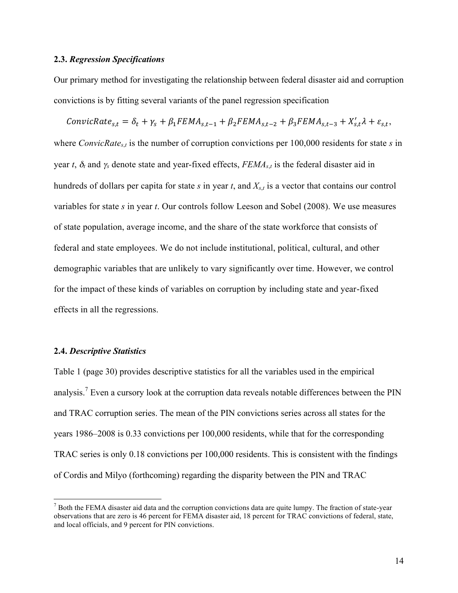# <span id="page-13-0"></span>**2.3.** *Regression Specifications*

Our primary method for investigating the relationship between federal disaster aid and corruption convictions is by fitting several variants of the panel regression specification

ConvicRate<sub>s,t</sub> =  $\delta_t + \gamma_s + \beta_1 FEMA_{s,t-1} + \beta_2 FEMA_{s,t-2} + \beta_3 FEMA_{s,t-3} + X'_{s,t}\lambda + \varepsilon_{s,t}$ , where *ConvicRate<sub>s,t</sub>* is the number of corruption convictions per 100,000 residents for state *s* in year *t*,  $\delta_t$  and  $\gamma_s$  denote state and year-fixed effects,  $FEMA_{s,t}$  is the federal disaster aid in hundreds of dollars per capita for state *s* in year *t*, and *Xs*,*<sup>t</sup>* is a vector that contains our control variables for state *s* in year *t*. Our controls follow Leeson and Sobel (2008). We use measures of state population, average income, and the share of the state workforce that consists of federal and state employees. We do not include institutional, political, cultural, and other demographic variables that are unlikely to vary significantly over time. However, we control for the impact of these kinds of variables on corruption by including state and year-fixed effects in all the regressions.

#### **2.4.** *Descriptive Statistics*

<u> 1989 - Jan Stein Stein, fransk politiker (d. 1989)</u>

Table 1 [\(page 30](#page-29-0)) provides descriptive statistics for all the variables used in the empirical analysis.<sup>7</sup> Even a cursory look at the corruption data reveals notable differences between the PIN and TRAC corruption series. The mean of the PIN convictions series across all states for the years 1986–2008 is 0.33 convictions per 100,000 residents, while that for the corresponding TRAC series is only 0.18 convictions per 100,000 residents. This is consistent with the findings of Cordis and Milyo (forthcoming) regarding the disparity between the PIN and TRAC

 $<sup>7</sup>$  Both the FEMA disaster aid data and the corruption convictions data are quite lumpy. The fraction of state-year</sup> observations that are zero is 46 percent for FEMA disaster aid, 18 percent for TRAC convictions of federal, state, and local officials, and 9 percent for PIN convictions.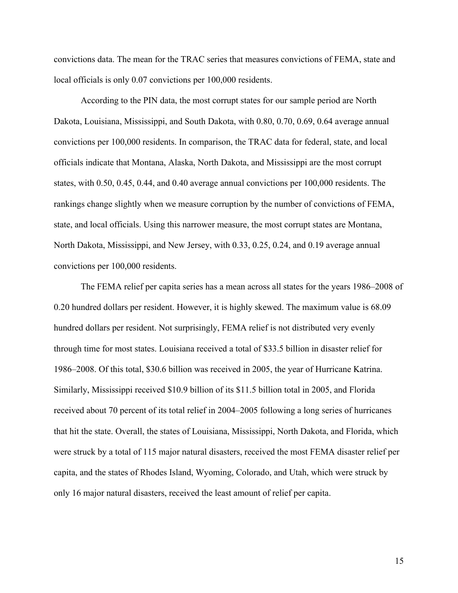convictions data. The mean for the TRAC series that measures convictions of FEMA, state and local officials is only 0.07 convictions per 100,000 residents.

According to the PIN data, the most corrupt states for our sample period are North Dakota, Louisiana, Mississippi, and South Dakota, with 0.80, 0.70, 0.69, 0.64 average annual convictions per 100,000 residents. In comparison, the TRAC data for federal, state, and local officials indicate that Montana, Alaska, North Dakota, and Mississippi are the most corrupt states, with 0.50, 0.45, 0.44, and 0.40 average annual convictions per 100,000 residents. The rankings change slightly when we measure corruption by the number of convictions of FEMA, state, and local officials. Using this narrower measure, the most corrupt states are Montana, North Dakota, Mississippi, and New Jersey, with 0.33, 0.25, 0.24, and 0.19 average annual convictions per 100,000 residents.

The FEMA relief per capita series has a mean across all states for the years 1986–2008 of 0.20 hundred dollars per resident. However, it is highly skewed. The maximum value is 68.09 hundred dollars per resident. Not surprisingly, FEMA relief is not distributed very evenly through time for most states. Louisiana received a total of \$33.5 billion in disaster relief for 1986–2008. Of this total, \$30.6 billion was received in 2005, the year of Hurricane Katrina. Similarly, Mississippi received \$10.9 billion of its \$11.5 billion total in 2005, and Florida received about 70 percent of its total relief in 2004–2005 following a long series of hurricanes that hit the state. Overall, the states of Louisiana, Mississippi, North Dakota, and Florida, which were struck by a total of 115 major natural disasters, received the most FEMA disaster relief per capita, and the states of Rhodes Island, Wyoming, Colorado, and Utah, which were struck by only 16 major natural disasters, received the least amount of relief per capita.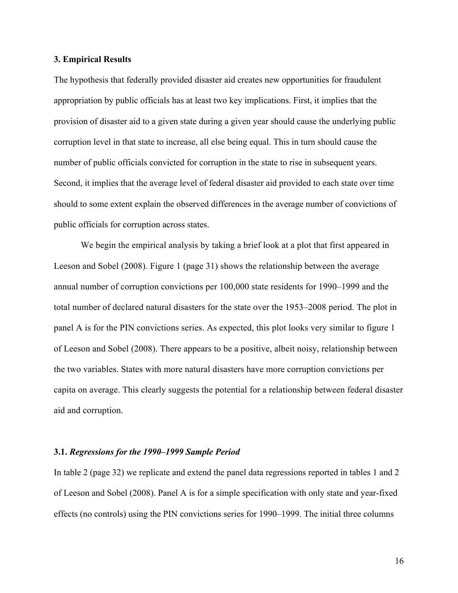#### <span id="page-15-0"></span>**3. Empirical Results**

The hypothesis that federally provided disaster aid creates new opportunities for fraudulent appropriation by public officials has at least two key implications. First, it implies that the provision of disaster aid to a given state during a given year should cause the underlying public corruption level in that state to increase, all else being equal. This in turn should cause the number of public officials convicted for corruption in the state to rise in subsequent years. Second, it implies that the average level of federal disaster aid provided to each state over time should to some extent explain the observed differences in the average number of convictions of public officials for corruption across states.

We begin the empirical analysis by taking a brief look at a plot that first appeared in Leeson and Sobel (2008). Figure 1 [\(page 31](#page-30-0)) shows the relationship between the average annual number of corruption convictions per 100,000 state residents for 1990–1999 and the total number of declared natural disasters for the state over the 1953–2008 period. The plot in panel A is for the PIN convictions series. As expected, this plot looks very similar to figure 1 of Leeson and Sobel (2008). There appears to be a positive, albeit noisy, relationship between the two variables. States with more natural disasters have more corruption convictions per capita on average. This clearly suggests the potential for a relationship between federal disaster aid and corruption.

#### **3.1.** *Regressions for the 1990–1999 Sample Period*

In table 2 [\(page 32\)](#page-31-0) we replicate and extend the panel data regressions reported in tables 1 and 2 of Leeson and Sobel (2008). Panel A is for a simple specification with only state and year-fixed effects (no controls) using the PIN convictions series for 1990–1999. The initial three columns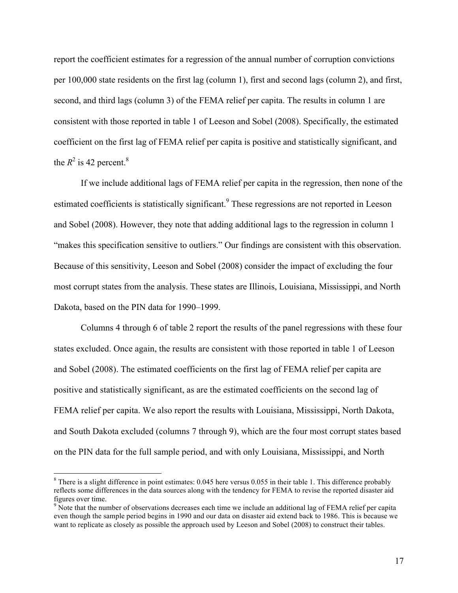report the coefficient estimates for a regression of the annual number of corruption convictions per 100,000 state residents on the first lag (column 1), first and second lags (column 2), and first, second, and third lags (column 3) of the FEMA relief per capita. The results in column 1 are consistent with those reported in table 1 of Leeson and Sobel (2008). Specifically, the estimated coefficient on the first lag of FEMA relief per capita is positive and statistically significant, and the  $R^2$  is 42 percent.<sup>8</sup>

If we include additional lags of FEMA relief per capita in the regression, then none of the estimated coefficients is statistically significant.<sup>9</sup> These regressions are not reported in Leeson and Sobel (2008). However, they note that adding additional lags to the regression in column 1 "makes this specification sensitive to outliers." Our findings are consistent with this observation. Because of this sensitivity, Leeson and Sobel (2008) consider the impact of excluding the four most corrupt states from the analysis. These states are Illinois, Louisiana, Mississippi, and North Dakota, based on the PIN data for 1990–1999.

Columns 4 through 6 of table 2 report the results of the panel regressions with these four states excluded. Once again, the results are consistent with those reported in table 1 of Leeson and Sobel (2008). The estimated coefficients on the first lag of FEMA relief per capita are positive and statistically significant, as are the estimated coefficients on the second lag of FEMA relief per capita. We also report the results with Louisiana, Mississippi, North Dakota, and South Dakota excluded (columns 7 through 9), which are the four most corrupt states based on the PIN data for the full sample period, and with only Louisiana, Mississippi, and North

<sup>&</sup>lt;sup>8</sup> There is a slight difference in point estimates: 0.045 here versus 0.055 in their table 1. This difference probably reflects some differences in the data sources along with the tendency for FEMA to revise the reported disaster aid figures over time.

<sup>&</sup>lt;sup>9</sup> Note that the number of observations decreases each time we include an additional lag of FEMA relief per capita even though the sample period begins in 1990 and our data on disaster aid extend back to 1986. This is because we want to replicate as closely as possible the approach used by Leeson and Sobel (2008) to construct their tables.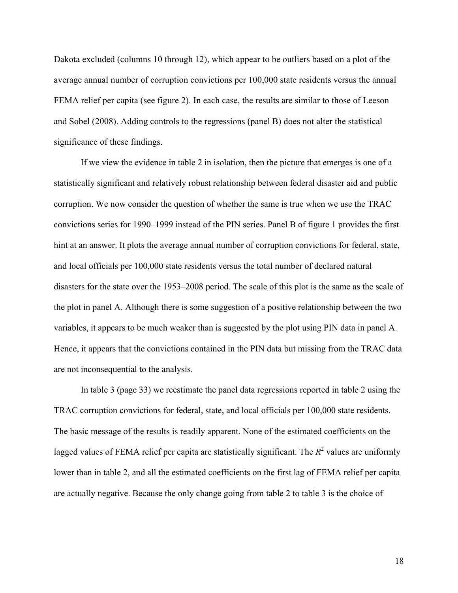<span id="page-17-0"></span>Dakota excluded (columns 10 through 12), which appear to be outliers based on a plot of the average annual number of corruption convictions per 100,000 state residents versus the annual FEMA relief per capita (see figure 2). In each case, the results are similar to those of Leeson and Sobel (2008). Adding controls to the regressions (panel B) does not alter the statistical significance of these findings.

If we view the evidence in table 2 in isolation, then the picture that emerges is one of a statistically significant and relatively robust relationship between federal disaster aid and public corruption. We now consider the question of whether the same is true when we use the TRAC convictions series for 1990–1999 instead of the PIN series. Panel B of figure 1 provides the first hint at an answer. It plots the average annual number of corruption convictions for federal, state, and local officials per 100,000 state residents versus the total number of declared natural disasters for the state over the 1953–2008 period. The scale of this plot is the same as the scale of the plot in panel A. Although there is some suggestion of a positive relationship between the two variables, it appears to be much weaker than is suggested by the plot using PIN data in panel A. Hence, it appears that the convictions contained in the PIN data but missing from the TRAC data are not inconsequential to the analysis.

In table 3 [\(page 33](#page-32-0)) we reestimate the panel data regressions reported in table 2 using the TRAC corruption convictions for federal, state, and local officials per 100,000 state residents. The basic message of the results is readily apparent. None of the estimated coefficients on the lagged values of FEMA relief per capita are statistically significant. The  $R^2$  values are uniformly lower than in table 2, and all the estimated coefficients on the first lag of FEMA relief per capita are actually negative. Because the only change going from table 2 to table 3 is the choice of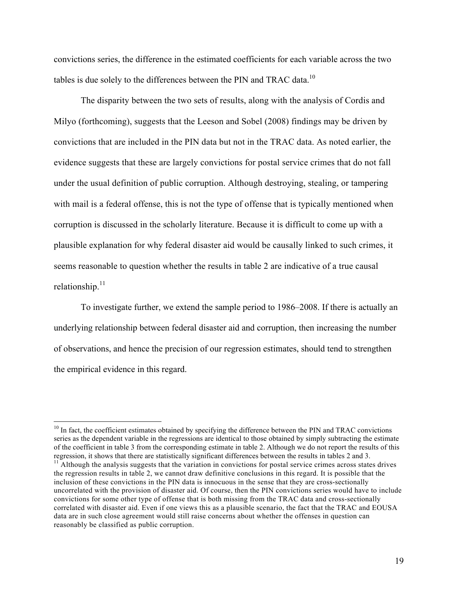convictions series, the difference in the estimated coefficients for each variable across the two tables is due solely to the differences between the PIN and TRAC data.<sup>10</sup>

The disparity between the two sets of results, along with the analysis of Cordis and Milyo (forthcoming), suggests that the Leeson and Sobel (2008) findings may be driven by convictions that are included in the PIN data but not in the TRAC data. As noted earlier, the evidence suggests that these are largely convictions for postal service crimes that do not fall under the usual definition of public corruption. Although destroying, stealing, or tampering with mail is a federal offense, this is not the type of offense that is typically mentioned when corruption is discussed in the scholarly literature. Because it is difficult to come up with a plausible explanation for why federal disaster aid would be causally linked to such crimes, it seems reasonable to question whether the results in table 2 are indicative of a true causal relationship.<sup>11</sup>

To investigate further, we extend the sample period to 1986–2008. If there is actually an underlying relationship between federal disaster aid and corruption, then increasing the number of observations, and hence the precision of our regression estimates, should tend to strengthen the empirical evidence in this regard.

 $10$  In fact, the coefficient estimates obtained by specifying the difference between the PIN and TRAC convictions series as the dependent variable in the regressions are identical to those obtained by simply subtracting the estimate of the coefficient in table 3 from the corresponding estimate in table 2. Although we do not report the results of this regression, it shows that there are statistically significant differences between the results in tables 2 and 3. <sup>11</sup> Although the analysis suggests that the variation in convictions for postal service crimes across states drives the regression results in table 2, we cannot draw definitive conclusions in this regard. It is possible that the inclusion of these convictions in the PIN data is innocuous in the sense that they are cross-sectionally uncorrelated with the provision of disaster aid. Of course, then the PIN convictions series would have to include convictions for some other type of offense that is both missing from the TRAC data and cross-sectionally correlated with disaster aid. Even if one views this as a plausible scenario, the fact that the TRAC and EOUSA data are in such close agreement would still raise concerns about whether the offenses in question can reasonably be classified as public corruption.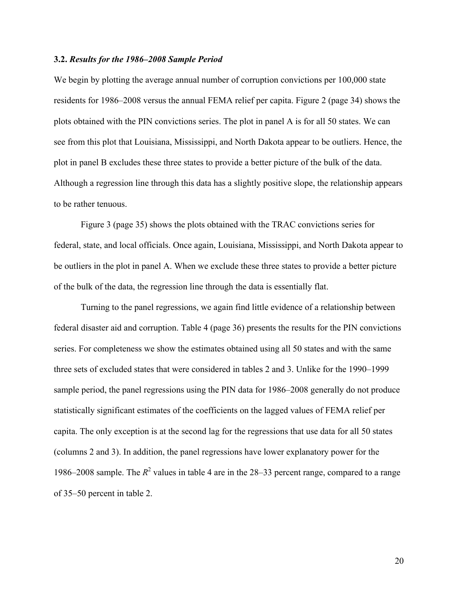#### <span id="page-19-0"></span>**3.2.** *Results for the 1986–2008 Sample Period*

We begin by plotting the average annual number of corruption convictions per  $100,000$  state residents for 1986–2008 versus the annual FEMA relief per capita. Figure 2 ([page 34\)](#page-33-0) shows the plots obtained with the PIN convictions series. The plot in panel A is for all 50 states. We can see from this plot that Louisiana, Mississippi, and North Dakota appear to be outliers. Hence, the plot in panel B excludes these three states to provide a better picture of the bulk of the data. Although a regression line through this data has a slightly positive slope, the relationship appears to be rather tenuous.

Figure 3 [\(page 35\)](#page-34-0) shows the plots obtained with the TRAC convictions series for federal, state, and local officials. Once again, Louisiana, Mississippi, and North Dakota appear to be outliers in the plot in panel A. When we exclude these three states to provide a better picture of the bulk of the data, the regression line through the data is essentially flat.

Turning to the panel regressions, we again find little evidence of a relationship between federal disaster aid and corruption. Table 4 [\(page 36\)](#page-35-0) presents the results for the PIN convictions series. For completeness we show the estimates obtained using all 50 states and with the same three sets of excluded states that were considered in tables 2 and 3. Unlike for the 1990–1999 sample period, the panel regressions using the PIN data for 1986–2008 generally do not produce statistically significant estimates of the coefficients on the lagged values of FEMA relief per capita. The only exception is at the second lag for the regressions that use data for all 50 states (columns 2 and 3). In addition, the panel regressions have lower explanatory power for the 1986–2008 sample. The  $R^2$  values in table 4 are in the 28–33 percent range, compared to a range of 35–50 percent in table 2.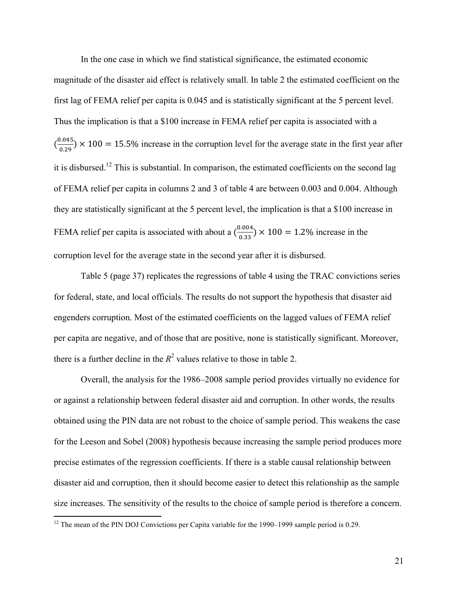<span id="page-20-0"></span>In the one case in which we find statistical significance, the estimated economic magnitude of the disaster aid effect is relatively small. In table 2 the estimated coefficient on the first lag of FEMA relief per capita is 0.045 and is statistically significant at the 5 percent level. Thus the implication is that a \$100 increase in FEMA relief per capita is associated with a  $\left(\frac{0.045}{0.29}\right)$  × 100 = 15.5% increase in the corruption level for the average state in the first year after it is disbursed.12 This is substantial. In comparison, the estimated coefficients on the second lag of FEMA relief per capita in columns 2 and 3 of table 4 are between 0.003 and 0.004. Although they are statistically significant at the 5 percent level, the implication is that a \$100 increase in FEMA relief per capita is associated with about a  $\left(\frac{0.004}{0.33}\right) \times 100 = 1.2\%$  increase in the corruption level for the average state in the second year after it is disbursed.

Table 5 [\(page 37](#page-36-0)) replicates the regressions of table 4 using the TRAC convictions series for federal, state, and local officials. The results do not support the hypothesis that disaster aid engenders corruption. Most of the estimated coefficients on the lagged values of FEMA relief per capita are negative, and of those that are positive, none is statistically significant. Moreover, there is a further decline in the  $R^2$  values relative to those in table 2.

Overall, the analysis for the 1986–2008 sample period provides virtually no evidence for or against a relationship between federal disaster aid and corruption. In other words, the results obtained using the PIN data are not robust to the choice of sample period. This weakens the case for the Leeson and Sobel (2008) hypothesis because increasing the sample period produces more precise estimates of the regression coefficients. If there is a stable causal relationship between disaster aid and corruption, then it should become easier to detect this relationship as the sample size increases. The sensitivity of the results to the choice of sample period is therefore a concern.

 $12$  The mean of the PIN DOJ Convictions per Capita variable for the 1990–1999 sample period is 0.29.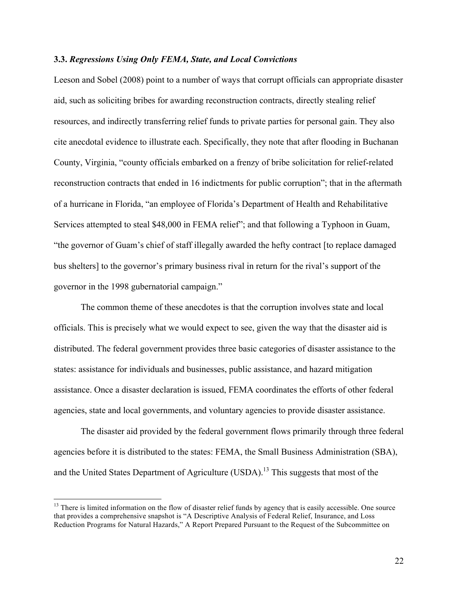#### **3.3.** *Regressions Using Only FEMA, State, and Local Convictions*

Leeson and Sobel (2008) point to a number of ways that corrupt officials can appropriate disaster aid, such as soliciting bribes for awarding reconstruction contracts, directly stealing relief resources, and indirectly transferring relief funds to private parties for personal gain. They also cite anecdotal evidence to illustrate each. Specifically, they note that after flooding in Buchanan County, Virginia, "county officials embarked on a frenzy of bribe solicitation for relief-related reconstruction contracts that ended in 16 indictments for public corruption"; that in the aftermath of a hurricane in Florida, "an employee of Florida's Department of Health and Rehabilitative Services attempted to steal \$48,000 in FEMA relief"; and that following a Typhoon in Guam, "the governor of Guam's chief of staff illegally awarded the hefty contract [to replace damaged bus shelters] to the governor's primary business rival in return for the rival's support of the governor in the 1998 gubernatorial campaign."

The common theme of these anecdotes is that the corruption involves state and local officials. This is precisely what we would expect to see, given the way that the disaster aid is distributed. The federal government provides three basic categories of disaster assistance to the states: assistance for individuals and businesses, public assistance, and hazard mitigation assistance. Once a disaster declaration is issued, FEMA coordinates the efforts of other federal agencies, state and local governments, and voluntary agencies to provide disaster assistance.

The disaster aid provided by the federal government flows primarily through three federal agencies before it is distributed to the states: FEMA, the Small Business Administration (SBA), and the United States Department of Agriculture (USDA).<sup>13</sup> This suggests that most of the

<sup>&</sup>lt;sup>13</sup> There is limited information on the flow of disaster relief funds by agency that is easily accessible. One source that provides a comprehensive snapshot is "A Descriptive Analysis of Federal Relief, Insurance, and Loss Reduction Programs for Natural Hazards," A Report Prepared Pursuant to the Request of the Subcommittee on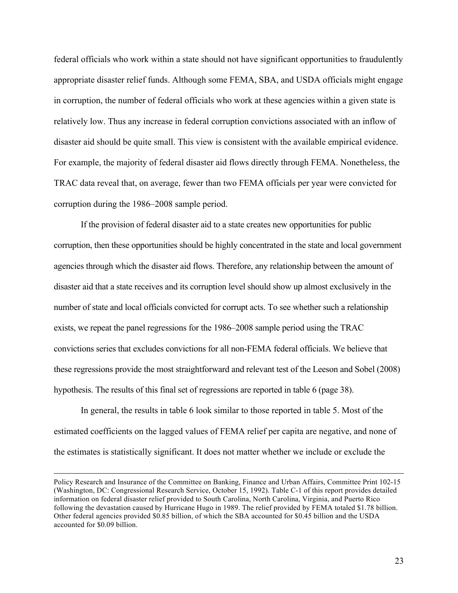<span id="page-22-0"></span>federal officials who work within a state should not have significant opportunities to fraudulently appropriate disaster relief funds. Although some FEMA, SBA, and USDA officials might engage in corruption, the number of federal officials who work at these agencies within a given state is relatively low. Thus any increase in federal corruption convictions associated with an inflow of disaster aid should be quite small. This view is consistent with the available empirical evidence. For example, the majority of federal disaster aid flows directly through FEMA. Nonetheless, the TRAC data reveal that, on average, fewer than two FEMA officials per year were convicted for corruption during the 1986–2008 sample period.

If the provision of federal disaster aid to a state creates new opportunities for public corruption, then these opportunities should be highly concentrated in the state and local government agencies through which the disaster aid flows. Therefore, any relationship between the amount of disaster aid that a state receives and its corruption level should show up almost exclusively in the number of state and local officials convicted for corrupt acts. To see whether such a relationship exists, we repeat the panel regressions for the 1986–2008 sample period using the TRAC convictions series that excludes convictions for all non-FEMA federal officials. We believe that these regressions provide the most straightforward and relevant test of the Leeson and Sobel (2008) hypothesis. The results of this final set of regressions are reported in table 6 [\(page 38\)](#page-37-0).

In general, the results in table 6 look similar to those reported in table 5. Most of the estimated coefficients on the lagged values of FEMA relief per capita are negative, and none of the estimates is statistically significant. It does not matter whether we include or exclude the

<u> 1989 - Andrea Santa Andrea Andrea Andrea Andrea Andrea Andrea Andrea Andrea Andrea Andrea Andrea Andrea Andr</u>

Policy Research and Insurance of the Committee on Banking, Finance and Urban Affairs, Committee Print 102-15 (Washington, DC: Congressional Research Service, October 15, 1992). Table C-1 of this report provides detailed information on federal disaster relief provided to South Carolina, North Carolina, Virginia, and Puerto Rico following the devastation caused by Hurricane Hugo in 1989. The relief provided by FEMA totaled \$1.78 billion. Other federal agencies provided \$0.85 billion, of which the SBA accounted for \$0.45 billion and the USDA accounted for \$0.09 billion.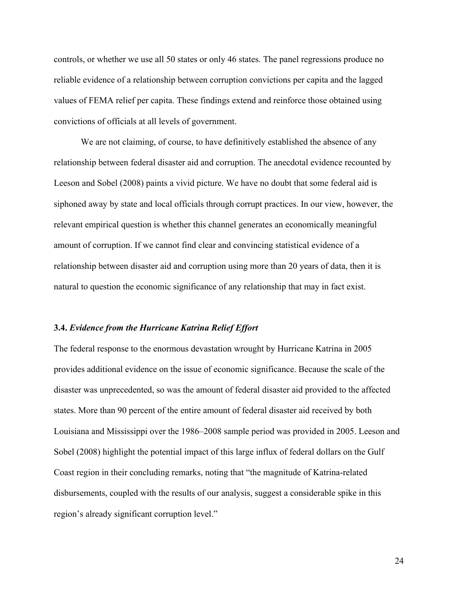controls, or whether we use all 50 states or only 46 states. The panel regressions produce no reliable evidence of a relationship between corruption convictions per capita and the lagged values of FEMA relief per capita. These findings extend and reinforce those obtained using convictions of officials at all levels of government.

We are not claiming, of course, to have definitively established the absence of any relationship between federal disaster aid and corruption. The anecdotal evidence recounted by Leeson and Sobel (2008) paints a vivid picture. We have no doubt that some federal aid is siphoned away by state and local officials through corrupt practices. In our view, however, the relevant empirical question is whether this channel generates an economically meaningful amount of corruption. If we cannot find clear and convincing statistical evidence of a relationship between disaster aid and corruption using more than 20 years of data, then it is natural to question the economic significance of any relationship that may in fact exist.

#### **3.4.** *Evidence from the Hurricane Katrina Relief Effort*

The federal response to the enormous devastation wrought by Hurricane Katrina in 2005 provides additional evidence on the issue of economic significance. Because the scale of the disaster was unprecedented, so was the amount of federal disaster aid provided to the affected states. More than 90 percent of the entire amount of federal disaster aid received by both Louisiana and Mississippi over the 1986–2008 sample period was provided in 2005. Leeson and Sobel (2008) highlight the potential impact of this large influx of federal dollars on the Gulf Coast region in their concluding remarks, noting that "the magnitude of Katrina-related disbursements, coupled with the results of our analysis, suggest a considerable spike in this region's already significant corruption level."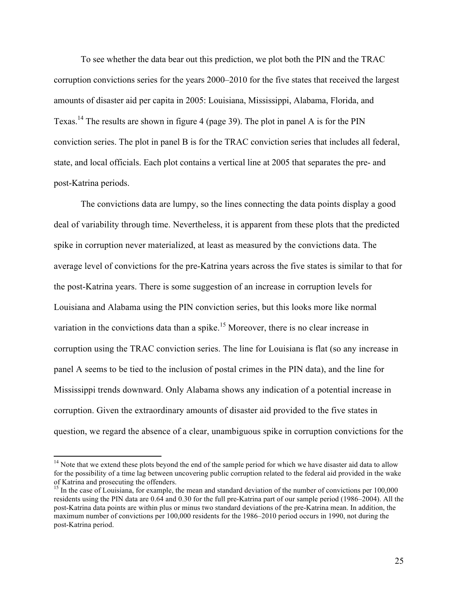<span id="page-24-0"></span>To see whether the data bear out this prediction, we plot both the PIN and the TRAC corruption convictions series for the years 2000–2010 for the five states that received the largest amounts of disaster aid per capita in 2005: Louisiana, Mississippi, Alabama, Florida, and Texas.<sup>14</sup> The results are shown in figure 4 ([page 39\)](#page-38-0). The plot in panel A is for the PIN conviction series. The plot in panel B is for the TRAC conviction series that includes all federal, state, and local officials. Each plot contains a vertical line at 2005 that separates the pre- and post-Katrina periods.

The convictions data are lumpy, so the lines connecting the data points display a good deal of variability through time. Nevertheless, it is apparent from these plots that the predicted spike in corruption never materialized, at least as measured by the convictions data. The average level of convictions for the pre-Katrina years across the five states is similar to that for the post-Katrina years. There is some suggestion of an increase in corruption levels for Louisiana and Alabama using the PIN conviction series, but this looks more like normal variation in the convictions data than a spike.<sup>15</sup> Moreover, there is no clear increase in corruption using the TRAC conviction series. The line for Louisiana is flat (so any increase in panel A seems to be tied to the inclusion of postal crimes in the PIN data), and the line for Mississippi trends downward. Only Alabama shows any indication of a potential increase in corruption. Given the extraordinary amounts of disaster aid provided to the five states in question, we regard the absence of a clear, unambiguous spike in corruption convictions for the

<sup>&</sup>lt;sup>14</sup> Note that we extend these plots beyond the end of the sample period for which we have disaster aid data to allow for the possibility of a time lag between uncovering public corruption related to the federal aid provided in the wake of Katrina and prosecuting the offenders.

<sup>&</sup>lt;sup>15</sup> In the case of Louisiana, for example, the mean and standard deviation of the number of convictions per  $100,000$ residents using the PIN data are 0.64 and 0.30 for the full pre-Katrina part of our sample period (1986–2004). All the post-Katrina data points are within plus or minus two standard deviations of the pre-Katrina mean. In addition, the maximum number of convictions per 100,000 residents for the 1986–2010 period occurs in 1990, not during the post-Katrina period.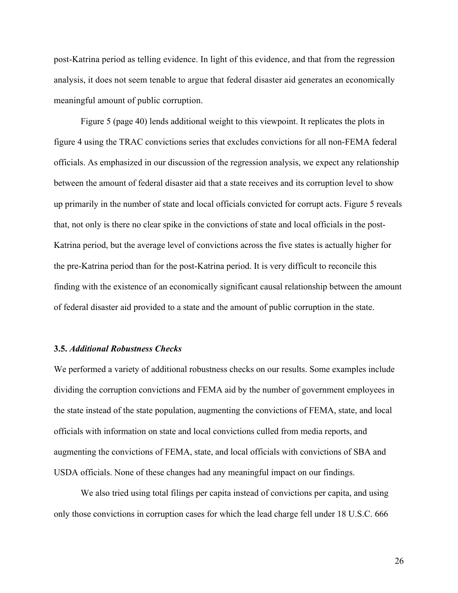<span id="page-25-0"></span>post-Katrina period as telling evidence. In light of this evidence, and that from the regression analysis, it does not seem tenable to argue that federal disaster aid generates an economically meaningful amount of public corruption.

Figure 5 ([page 40\)](#page-39-0) lends additional weight to this viewpoint. It replicates the plots in figure 4 using the TRAC convictions series that excludes convictions for all non-FEMA federal officials. As emphasized in our discussion of the regression analysis, we expect any relationship between the amount of federal disaster aid that a state receives and its corruption level to show up primarily in the number of state and local officials convicted for corrupt acts. Figure 5 reveals that, not only is there no clear spike in the convictions of state and local officials in the post-Katrina period, but the average level of convictions across the five states is actually higher for the pre-Katrina period than for the post-Katrina period. It is very difficult to reconcile this finding with the existence of an economically significant causal relationship between the amount of federal disaster aid provided to a state and the amount of public corruption in the state.

#### **3.5.** *Additional Robustness Checks*

We performed a variety of additional robustness checks on our results. Some examples include dividing the corruption convictions and FEMA aid by the number of government employees in the state instead of the state population, augmenting the convictions of FEMA, state, and local officials with information on state and local convictions culled from media reports, and augmenting the convictions of FEMA, state, and local officials with convictions of SBA and USDA officials. None of these changes had any meaningful impact on our findings.

We also tried using total filings per capita instead of convictions per capita, and using only those convictions in corruption cases for which the lead charge fell under 18 U.S.C. 666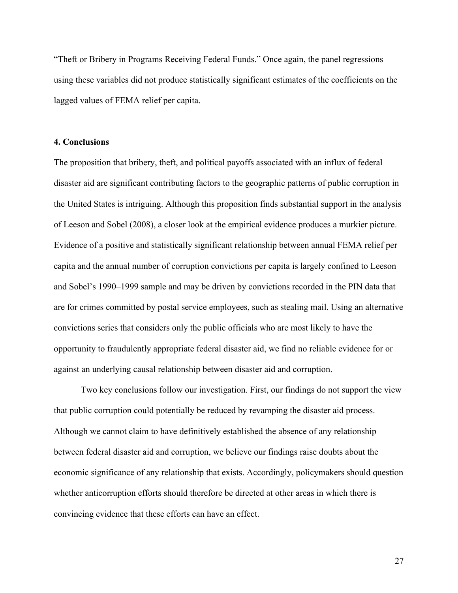"Theft or Bribery in Programs Receiving Federal Funds." Once again, the panel regressions using these variables did not produce statistically significant estimates of the coefficients on the lagged values of FEMA relief per capita.

## **4. Conclusions**

The proposition that bribery, theft, and political payoffs associated with an influx of federal disaster aid are significant contributing factors to the geographic patterns of public corruption in the United States is intriguing. Although this proposition finds substantial support in the analysis of Leeson and Sobel (2008), a closer look at the empirical evidence produces a murkier picture. Evidence of a positive and statistically significant relationship between annual FEMA relief per capita and the annual number of corruption convictions per capita is largely confined to Leeson and Sobel's 1990–1999 sample and may be driven by convictions recorded in the PIN data that are for crimes committed by postal service employees, such as stealing mail. Using an alternative convictions series that considers only the public officials who are most likely to have the opportunity to fraudulently appropriate federal disaster aid, we find no reliable evidence for or against an underlying causal relationship between disaster aid and corruption.

Two key conclusions follow our investigation. First, our findings do not support the view that public corruption could potentially be reduced by revamping the disaster aid process. Although we cannot claim to have definitively established the absence of any relationship between federal disaster aid and corruption, we believe our findings raise doubts about the economic significance of any relationship that exists. Accordingly, policymakers should question whether anticorruption efforts should therefore be directed at other areas in which there is convincing evidence that these efforts can have an effect.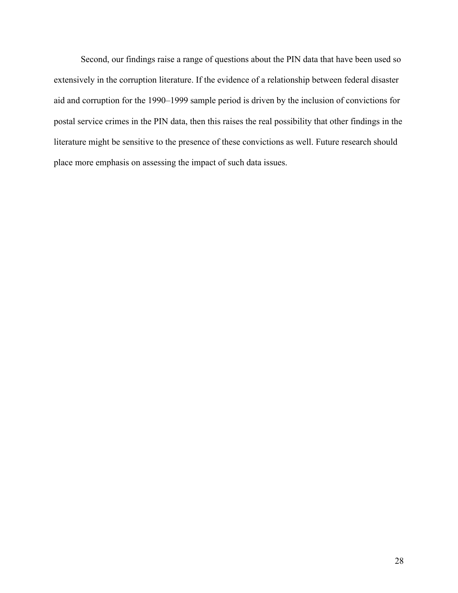Second, our findings raise a range of questions about the PIN data that have been used so extensively in the corruption literature. If the evidence of a relationship between federal disaster aid and corruption for the 1990–1999 sample period is driven by the inclusion of convictions for postal service crimes in the PIN data, then this raises the real possibility that other findings in the literature might be sensitive to the presence of these convictions as well. Future research should place more emphasis on assessing the impact of such data issues.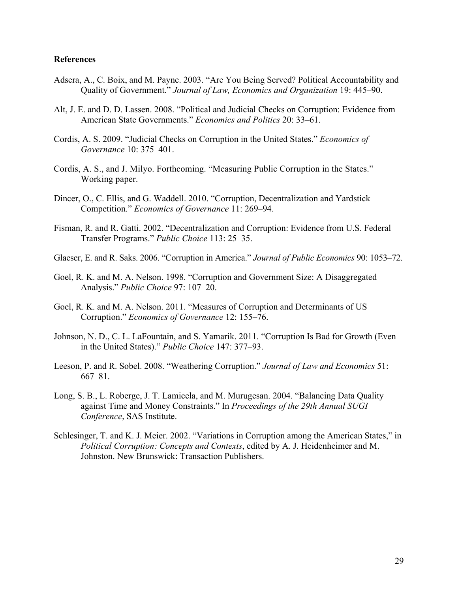## **References**

- Adsera, A., C. Boix, and M. Payne. 2003. "Are You Being Served? Political Accountability and Quality of Government." *Journal of Law, Economics and Organization* 19: 445–90.
- Alt, J. E. and D. D. Lassen. 2008. "Political and Judicial Checks on Corruption: Evidence from American State Governments." *Economics and Politics* 20: 33–61.
- Cordis, A. S. 2009. "Judicial Checks on Corruption in the United States." *Economics of Governance* 10: 375–401.
- Cordis, A. S., and J. Milyo. Forthcoming. "Measuring Public Corruption in the States." Working paper.
- Dincer, O., C. Ellis, and G. Waddell. 2010. "Corruption, Decentralization and Yardstick Competition." *Economics of Governance* 11: 269–94.
- Fisman, R. and R. Gatti. 2002. "Decentralization and Corruption: Evidence from U.S. Federal Transfer Programs." *Public Choice* 113: 25–35.
- Glaeser, E. and R. Saks. 2006. "Corruption in America." *Journal of Public Economics* 90: 1053–72.
- Goel, R. K. and M. A. Nelson. 1998. "Corruption and Government Size: A Disaggregated Analysis." *Public Choice* 97: 107–20.
- Goel, R. K. and M. A. Nelson. 2011. "Measures of Corruption and Determinants of US Corruption." *Economics of Governance* 12: 155–76.
- Johnson, N. D., C. L. LaFountain, and S. Yamarik. 2011. "Corruption Is Bad for Growth (Even in the United States)." *Public Choice* 147: 377–93.
- Leeson, P. and R. Sobel. 2008. "Weathering Corruption." *Journal of Law and Economics* 51: 667–81.
- Long, S. B., L. Roberge, J. T. Lamicela, and M. Murugesan. 2004. "Balancing Data Quality against Time and Money Constraints." In *Proceedings of the 29th Annual SUGI Conference*, SAS Institute.
- Schlesinger, T. and K. J. Meier. 2002. "Variations in Corruption among the American States," in *Political Corruption: Concepts and Contexts*, edited by A. J. Heidenheimer and M. Johnston. New Brunswick: Transaction Publishers.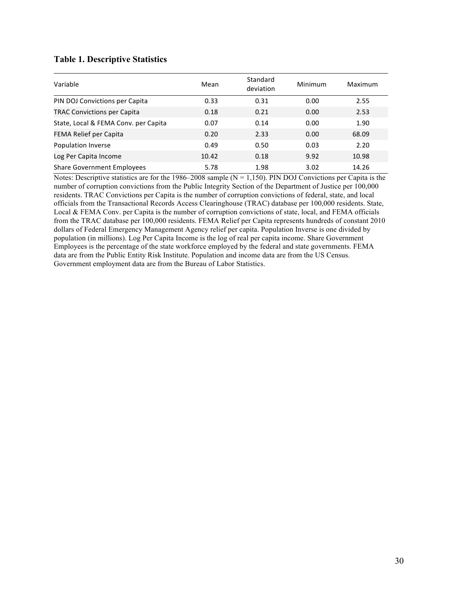# <span id="page-29-0"></span>**[Table 1.](#page-13-0) Descriptive Statistics**

| Variable                             | Mean  | Standard<br>deviation | Minimum | Maximum |
|--------------------------------------|-------|-----------------------|---------|---------|
| PIN DOJ Convictions per Capita       | 0.33  | 0.31                  | 0.00    | 2.55    |
| <b>TRAC Convictions per Capita</b>   | 0.18  | 0.21                  | 0.00    | 2.53    |
| State, Local & FEMA Conv. per Capita | 0.07  | 0.14                  | 0.00    | 1.90    |
| FEMA Relief per Capita               | 0.20  | 2.33                  | 0.00    | 68.09   |
| Population Inverse                   | 0.49  | 0.50                  | 0.03    | 2.20    |
| Log Per Capita Income                | 10.42 | 0.18                  | 9.92    | 10.98   |
| <b>Share Government Employees</b>    | 5.78  | 1.98                  | 3.02    | 14.26   |

Notes: Descriptive statistics are for the 1986–2008 sample ( $N = 1,150$ ). PIN DOJ Convictions per Capita is the number of corruption convictions from the Public Integrity Section of the Department of Justice per 100,000 residents. TRAC Convictions per Capita is the number of corruption convictions of federal, state, and local officials from the Transactional Records Access Clearinghouse (TRAC) database per 100,000 residents. State, Local & FEMA Conv. per Capita is the number of corruption convictions of state, local, and FEMA officials from the TRAC database per 100,000 residents. FEMA Relief per Capita represents hundreds of constant 2010 dollars of Federal Emergency Management Agency relief per capita. Population Inverse is one divided by population (in millions). Log Per Capita Income is the log of real per capita income. Share Government Employees is the percentage of the state workforce employed by the federal and state governments. FEMA data are from the Public Entity Risk Institute. Population and income data are from the US Census. Government employment data are from the Bureau of Labor Statistics.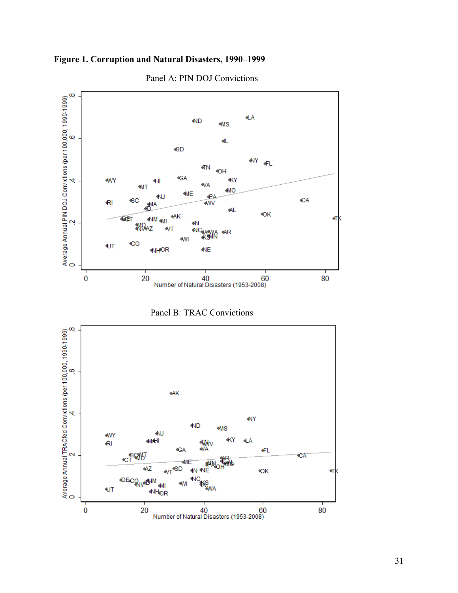<span id="page-30-0"></span>



Panel A: PIN DOJ Convictions



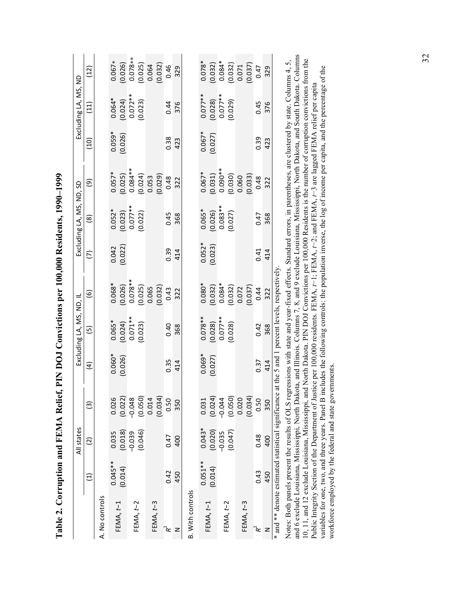<span id="page-31-0"></span>

|                                                  |            | All states           |                   |                                             | Excluding LA, MS, ND, IL        |                                                                                                                            |                       | Excluding LA, MS, ND, SD                                          |                                                                                                                                               |                       | Excluding LA, MS, ND               |                                                                                            |
|--------------------------------------------------|------------|----------------------|-------------------|---------------------------------------------|---------------------------------|----------------------------------------------------------------------------------------------------------------------------|-----------------------|-------------------------------------------------------------------|-----------------------------------------------------------------------------------------------------------------------------------------------|-----------------------|------------------------------------|--------------------------------------------------------------------------------------------|
|                                                  | Ξ          | $\widetilde{\omega}$ | $\widetilde{\Xi}$ | $\widehat{a}$                               | $\widetilde{5}$                 | $\widehat{e}$                                                                                                              | ε                     | $\circledR$                                                       | ම                                                                                                                                             | (10)                  | (11)                               | <u>์(12</u>                                                                                |
| A. No controls                                   |            |                      |                   |                                             |                                 |                                                                                                                            |                       |                                                                   |                                                                                                                                               |                       |                                    |                                                                                            |
|                                                  | $0.045**$  | 0.035                | 0.026             |                                             |                                 |                                                                                                                            |                       |                                                                   |                                                                                                                                               |                       |                                    | $0.067*$                                                                                   |
| FEMA, $t-1$                                      | (0.014)    | (0.018)              | (0.022)           | $0.060*$<br>(0.026)                         | $0.065*$<br>(0.024)<br>0.071**  | $0.068*$<br>$(0.026)$<br>$0.078**$<br>$0.025)$<br>$(0.025)$<br>$0.065$<br>$(0.032)$                                        | $0.042$<br>$(0.022)$  | $0.052$ *<br>(0.023)<br>0.077**                                   | $\begin{array}{l} 0.057^{*} \\ (0.025) \\ (0.024^{**} \\ (0.084^{**} \\ (0.024) \\ (0.053) \\ (0.0148) \\ (0.029) \\ (0.0148) \\ \end{array}$ | $0.059*$<br>$(0.026)$ | $0.064*$<br>$(0.024)$<br>$0.072**$ | $(0.026)$<br>0.078**<br>(0.025)<br>0.064                                                   |
| FEMA, t-2                                        |            | $-0.039$             | $-0.048$          |                                             |                                 |                                                                                                                            |                       |                                                                   |                                                                                                                                               |                       |                                    |                                                                                            |
|                                                  |            | (0.046)              | (0.050)           |                                             | (0.023)                         |                                                                                                                            |                       | (0.022)                                                           |                                                                                                                                               |                       | (0.023)                            |                                                                                            |
|                                                  |            |                      | 0.014             |                                             |                                 |                                                                                                                            |                       |                                                                   |                                                                                                                                               |                       |                                    |                                                                                            |
| FEMA, $t-3$                                      |            |                      | (0.034)           |                                             |                                 |                                                                                                                            |                       |                                                                   |                                                                                                                                               |                       |                                    | (0.032)                                                                                    |
| ີ≪                                               | 0.42       | 0.47                 | 0.50              | 0.35                                        | 0.40                            |                                                                                                                            | 0.39                  | 0.45                                                              |                                                                                                                                               | 0.38                  | 0.44                               | 0.46                                                                                       |
| z                                                | 450        | 400                  | 350               | 414                                         | 368                             | 322                                                                                                                        | 414                   | 368                                                               | 322                                                                                                                                           | 423                   | 376                                | 329                                                                                        |
| <b>B.</b> With controls                          |            |                      |                   |                                             |                                 |                                                                                                                            |                       |                                                                   |                                                                                                                                               |                       |                                    |                                                                                            |
|                                                  | $0.051***$ | $0.043*$             | 0.031             | $0.069*$                                    |                                 |                                                                                                                            |                       |                                                                   |                                                                                                                                               |                       |                                    | $0.078*$                                                                                   |
| FEMA, $t-1$                                      | (0.014)    | (0.020)              | (0.024)           | (0.027)                                     | $0.078**$<br>(0.028)<br>0.077** | $\begin{array}{c} 0.080^{*} \\ (0.032) \\ 0.084^{*} \\ (0.034) \\ (0.032) \\ (0.037) \\ (0.037) \\ (0.037) \\ \end{array}$ | $0.052*$<br>$(0.023)$ | $\begin{array}{c} 0.065^{*} \\ (0.026) \\ 0.083^{**} \end{array}$ | $\begin{array}{c} 0.067* \\ 0.031) \\ 0.090* \\ 0.0900 \\ 0.030) \\ 0.060 \\ 0.060 \\ \end{array}$                                            | $0.067*$<br>$(0.027)$ | $0.077**$<br>(0.028)<br>0.077**    | $\begin{array}{c} (0.032) \\ 0.084^* \\ 0.032) \\ (0.032) \\ 0.071 \\ (0.037) \end{array}$ |
| FEMA, t-2                                        |            | $-0.035$             | $-0.044$          |                                             |                                 |                                                                                                                            |                       |                                                                   |                                                                                                                                               |                       |                                    |                                                                                            |
|                                                  |            | (0.047)              | (0.050)           |                                             | (0.028)                         |                                                                                                                            |                       | (0.027)                                                           |                                                                                                                                               |                       | (0.029)                            |                                                                                            |
| FEMA, t-3                                        |            |                      | 0.020             |                                             |                                 |                                                                                                                            |                       |                                                                   |                                                                                                                                               |                       |                                    |                                                                                            |
|                                                  |            |                      | (0.034)           |                                             |                                 |                                                                                                                            |                       |                                                                   |                                                                                                                                               |                       |                                    |                                                                                            |
| າໃ                                               | 0.43       | 0.48                 | 0.50              | 0.37                                        | 0.42                            |                                                                                                                            | 0.41                  | 0.47                                                              | 0.48                                                                                                                                          | 0.39                  | 0.45                               | 0.47                                                                                       |
| z                                                | 450        | 400                  | 350               | 414                                         | 368                             | 322                                                                                                                        | 414                   | 368                                                               | 322                                                                                                                                           | 423                   | 376                                | 329                                                                                        |
| and ** denote estimated statistical significance |            |                      |                   | at the 5 and 1 percent levels, respectively |                                 |                                                                                                                            |                       |                                                                   |                                                                                                                                               |                       |                                    |                                                                                            |

Table 2. Corruption and FEMA Relief, PIN DOJ Convictions per 100,000 Residents, 1990-1999 **[Table 2.](#page-15-0) Corruption and FEMA Relief, PIN DOJ Convictions per 100,000 Residents, 1990–1999**

and 6 exclude Louisiana, Mississippi, North Dakota, and Illinois. Columns 7, 8, and 9 exclude Louisiana, Mississippi, North Dakota, and South Dakota. Columns and 6 exclude Louisiana, Mississippi, North Dakota, and Illinois. Columns 7, 8, and 9 exclude Louisiana, Mississippi, North Dakota, and South Dakota. Columns Notes: Both panels present the results of OLS regressions with state and year-fixed effects. Standard errors, in parentheses, are clustered by state. Columns 4, 5, 10, 11, and 12 exclude Louisiana, Mississippi, and North Dakota. PIN DOJ Convictions per 100,000 Residents is the number of corruption convictions from the 10, 11, and 12 exclude Louisiana, Mississippi, and North Dakota. PIN DOJ Convictions per 100,000 Residents is the number of corruption convictions from the Notes: Both panels present the results of OLS regressions with state and year-fixed effects. Standard errors, in parentheses, are clustered by state. Columns 4, 5, variables for one, two, and three years. Panel B includes the following controls: the population inverse, the log of income per capita, and the percentage of the variables for one, two, and three years. Panel B includes the following controls: the population inverse, the log of income per capita, and the percentage of the Public Integrity Section of the Department of Justice per 100,000 residents. FEMA,  $t-1$ ; FEMA,  $t-2$ ; and FEMA,  $t-3$  are lagged FEMA relief per capita Public Integrity Section of the Department of Justice per 100,000 residents. FEMA, *t*−1; FEMA, *t*−2; and FEMA, *t*−3 are lagged FEMA relief per capita workforce employed by the federal and state governments. workforce employed by the federal and state governments.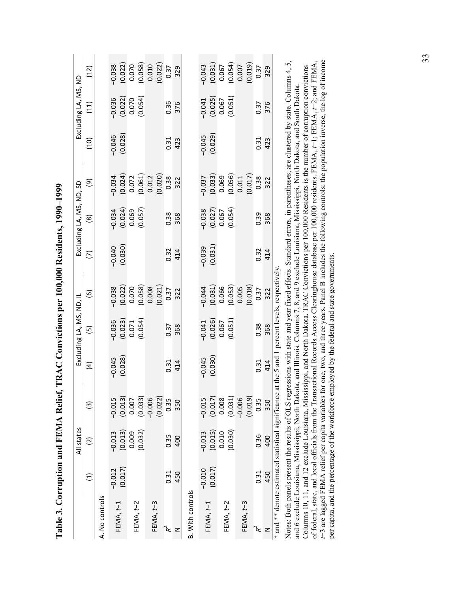<span id="page-32-0"></span>

|                                                       |          | All states           |          |                     | Excluding LA, MS, ND, IL                                         |                                                                       |                     | Excluding LA, MS, ND, SD                     |                                                                                      |                     | Excluding LA, MS, ND                                          |                                                                                                |
|-------------------------------------------------------|----------|----------------------|----------|---------------------|------------------------------------------------------------------|-----------------------------------------------------------------------|---------------------|----------------------------------------------|--------------------------------------------------------------------------------------|---------------------|---------------------------------------------------------------|------------------------------------------------------------------------------------------------|
|                                                       | Ξ        | $\widetilde{\omega}$ | ම        | $\widehat{a}$       | $\overline{5}$                                                   | $\widehat{\mathbf{e}}$                                                | ε                   | $\circledast$                                | ම                                                                                    | (10)                | (11)                                                          | $(12)$                                                                                         |
| A. No controls                                        |          |                      |          |                     |                                                                  |                                                                       |                     |                                              |                                                                                      |                     |                                                               |                                                                                                |
| FEMA, $t-1$                                           | $-0.012$ | $-0.013$             | $-0.015$ |                     |                                                                  | $-0.038$                                                              | $-0.040$            |                                              |                                                                                      |                     |                                                               | 0.038                                                                                          |
|                                                       | (0.017)  | (0.013)              | (0.013)  | $-0.045$<br>(0.028) | $\begin{array}{c} -0.036 \ (0.023) \ 0.071 \ 0.054) \end{array}$ |                                                                       | (0.030)             | $-0.034$<br>(0.024)<br>0.069<br>(0.057)      |                                                                                      | $-0.046$<br>(0.028) | $-0.036$<br>$(0.022)$<br>$0.070$<br>$(0.054)$                 |                                                                                                |
| FEMA, t-2                                             |          | 0.009                | 0.007    |                     |                                                                  |                                                                       |                     |                                              |                                                                                      |                     |                                                               |                                                                                                |
|                                                       |          | (0.032)              | (0.033)  |                     |                                                                  |                                                                       |                     |                                              |                                                                                      |                     |                                                               |                                                                                                |
|                                                       |          |                      | $-0.006$ |                     |                                                                  |                                                                       |                     |                                              |                                                                                      |                     |                                                               |                                                                                                |
| FEMA, $t-3$                                           |          |                      | (0.022)  |                     |                                                                  | $(0.022)$<br>$0.070$<br>$(0.058)$<br>$0.008$<br>$0.021)$<br>$0.37$    |                     |                                              | $-0.034$<br>$(0.024)$<br>$0.072$<br>$(0.061)$<br>$(0.012)$<br>$(0.020)$<br>$(0.020)$ |                     |                                                               | $\begin{array}{c} (0.022) \ 0.070 \ (0.058) \ 0.010 \ (0.012) \ (0.022) \ (0.037) \end{array}$ |
| $\mathbf{R}^2$                                        | 0.31     | 0.35                 | 0.35     | 0.31                | 0.37                                                             |                                                                       | 0.32                | 0.38                                         |                                                                                      | 0.31                | 0.36                                                          |                                                                                                |
| z                                                     | 450      | 400                  | 350      | 414                 | 368                                                              | 322                                                                   | 414                 | 368                                          | 322                                                                                  | 423                 | 376                                                           | 329                                                                                            |
| <b>B.</b> With controls                               |          |                      |          |                     |                                                                  |                                                                       |                     |                                              |                                                                                      |                     |                                                               |                                                                                                |
|                                                       | $-0.010$ | $-0.013$             | $-0.015$ | $-0.045$            |                                                                  |                                                                       |                     |                                              | $-0.037$                                                                             |                     |                                                               |                                                                                                |
| FEMA, $t-1$                                           | (0.017)  | (0.015)              | (0.017)  | (0.030)             | $\begin{array}{c} -0.041 \ (0.026) \ 0.067 \ 0.051) \end{array}$ |                                                                       | $-0.039$<br>(0.031) | $-0.038$<br>$(0.027)$<br>$0.067$<br>$0.054)$ |                                                                                      | $-0.045$<br>(0.029) | $\begin{array}{c} -0.041\ 0.025) \ 0.067\ 0.051) \end{array}$ |                                                                                                |
| FEMA, $t-2$                                           |          | 0.010                | 0.008    |                     |                                                                  |                                                                       |                     |                                              |                                                                                      |                     |                                                               |                                                                                                |
|                                                       |          | (0.030)              | (0.031)  |                     |                                                                  |                                                                       |                     |                                              |                                                                                      |                     |                                                               |                                                                                                |
| FEMA, t-3                                             |          |                      | $-0.006$ |                     |                                                                  | $-0.044$<br>$(0.031)$<br>$0.066$<br>$(0.053)$<br>$0.005$<br>$(0.018)$ |                     |                                              | $(0.033)$<br>$0.069$<br>$(0.056)$<br>$0.011$<br>$(0.017)$<br>$(0.017)$               |                     |                                                               | $-0.043$<br>$(0.031)$<br>$0.067$<br>$(0.054)$<br>$0.007$<br>$(0.019)$<br>$0.37$                |
|                                                       |          |                      | (0.019)  |                     |                                                                  |                                                                       |                     |                                              |                                                                                      |                     |                                                               |                                                                                                |
| $\mathbf{R}^2$                                        | 0.31     | 0.36                 | 0.35     | 0.31                | 0.38                                                             | 0.37                                                                  | 0.32                | 0.39                                         |                                                                                      | 0.31                | 0.37                                                          |                                                                                                |
|                                                       | 450      | 400                  | 350      | 414                 | 368                                                              | 322                                                                   | 414                 | 368                                          | 322                                                                                  | 423                 | 376                                                           | 329                                                                                            |
| and ** denote estimated statistical significance<br>¥ |          |                      |          | at the 5 and        |                                                                  | 1 percent levels, respectively                                        |                     |                                              |                                                                                      |                     |                                                               |                                                                                                |

Table 3. Corruption and FEMA Relief. TRAC Convictions per 100.000 Residents, 1990–1999 **[Table 3.](#page-17-0) Corruption and FEMA Relief, TRAC Convictions per 100,000 Residents, 1990–1999** Notes: Both panels present the results of OLS regressions with state and year fixed effects. Standard errors, in parentheses, are clustered by state. Columns 4, 5, t-3 are lagged FEMA relief per capita variables for one, two, and three years. Panel B includes the following controls: the population inverse, the log of income *t*−3 are lagged FEMA relief per capita variables for one, two, and three years. Panel B includes the following controls: the population inverse, the log of income Notes: Both panels present the results of OLS regressions with state and year fixed effects. Standard errors, in parentheses, are clustered by state. Columns 4, 5, of federal, state, and local officials from the Transactional Records Access Clearinghouse database per 100,000 residents. FEMA,  $t$ -1; FEMA,  $t$ -2; and FEMA, of federal, state, and local officials from the Transactional Records Access Clearinghouse database per 100,000 residents. FEMA, *t*−1; FEMA, *t*−2; and FEMA, Columns 10, 11, and 12 exclude Louisiana, Mississippi, and North Dakota. TRAC Convictions per 100,000 Residents is the number of corruption convictions Columns 10, 11, and 12 exclude Louisiana, Mississippi, and North Dakota. TRAC Convictions per 100,000 Residents is the number of corruption convictions and 6 exclude Louisiana, Mississippi, North Dakota, and Illinois. Columns 7, 8, and 9 exclude Louisiana, Mississippi, North Dakota, and South Dakota. and 6 exclude Louisiana, Mississippi, North Dakota, and Illinois. Columns 7, 8, and 9 exclude Louisiana, Mississippi, North Dakota, and South Dakota. per capita, and the percentage of the workforce employed by the federal and state governments. per capita, and the percentage of the workforce employed by the federal and state governments.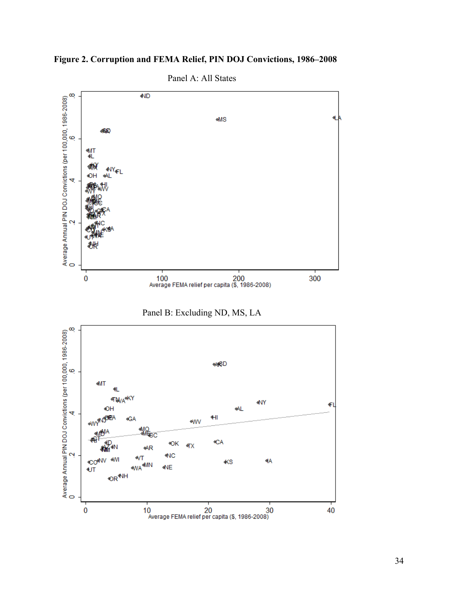<span id="page-33-0"></span>



Panel A: All States

Panel B: Excluding ND, MS, LA

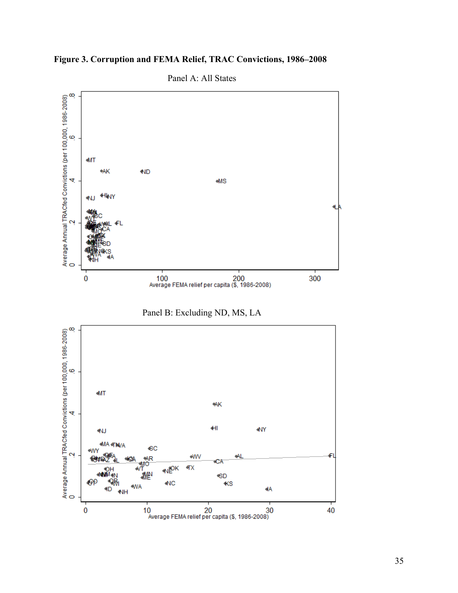

<span id="page-34-0"></span>**[Figure 3.](#page-19-0) Corruption and FEMA Relief, TRAC Convictions, 1986–2008**



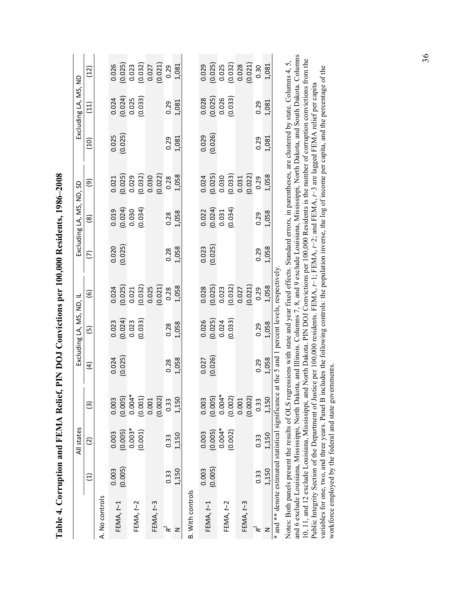<span id="page-35-0"></span>

| Table 4. Corruption and FEMA Relief,                |         |                      |          |                                          |                          |                                                                                | PIN DOJ Convictions per 100,000 Residents, 1986-2008 |                                                          |                                                                                              |                   |                                                          |                                              |
|-----------------------------------------------------|---------|----------------------|----------|------------------------------------------|--------------------------|--------------------------------------------------------------------------------|------------------------------------------------------|----------------------------------------------------------|----------------------------------------------------------------------------------------------|-------------------|----------------------------------------------------------|----------------------------------------------|
|                                                     |         | All states           |          |                                          | Excluding LA, MS, ND, IL |                                                                                |                                                      | Excluding LA, MS, ND, SD                                 |                                                                                              |                   | Excluding LA, MS, ND                                     |                                              |
|                                                     | Ξ       | $\widetilde{\omega}$ | ତ୍ର      | $\widehat{a}$                            | $\overline{5}$           | $\widehat{e}$                                                                  | Σ                                                    | $\circledast$                                            | ම                                                                                            | $\left(10\right)$ | $\left(11\right)$                                        | <u>(12)</u>                                  |
| A. No controls                                      |         |                      |          |                                          |                          |                                                                                |                                                      |                                                          |                                                                                              |                   |                                                          |                                              |
|                                                     | 0.003   | 0.003                | 0.003    | 0.024                                    | 0.023                    |                                                                                |                                                      |                                                          |                                                                                              |                   |                                                          | 0.026                                        |
| FEMA, $t-1$                                         | (0.005) | (0.005)              | (0.005)  | (0.025)                                  | $(0.024)$<br>$0.023$     | $\begin{array}{c} 0.024 \ 0.025) \ 0.021 \ 0.032) \ 0.032 \ 0.025 \end{array}$ | $0.020$<br>$(0.025)$                                 | $\begin{array}{c} 0.019 \\ (0.024) \\ 0.030 \end{array}$ | $\begin{array}{c} 0.021 \\ 0.025) \\ 0.029 \\ 0.032) \\ 0.030 \\ 0.030 \end{array}$          | (0.025)           | $\begin{array}{c} 0.024 \\ (0.024) \\ 0.025 \end{array}$ | (0.025)                                      |
|                                                     |         | $0.003*$             | $0.004*$ |                                          |                          |                                                                                |                                                      |                                                          |                                                                                              |                   |                                                          | 0.023                                        |
| FEMA, $t-2$                                         |         | (0.001)              | (0.001)  |                                          | (0.033)                  |                                                                                |                                                      | (0.034)                                                  |                                                                                              |                   | (0.033)                                                  |                                              |
|                                                     |         |                      | 0.001    |                                          |                          |                                                                                |                                                      |                                                          |                                                                                              |                   |                                                          |                                              |
| FEMA, t-3                                           |         |                      | (0.002)  |                                          |                          | (0.021)                                                                        |                                                      |                                                          | (0.022)                                                                                      |                   |                                                          | $(0.032)$<br>$0.027$<br>$(0.021)$            |
| ີ≪                                                  | 0.33    | 0.33                 | 0.33     | 0.28                                     | 0.28                     | 0.28                                                                           | 0.28                                                 | 0.28                                                     | 0.28                                                                                         | 0.29              | 0.29                                                     | 0.29                                         |
| z                                                   | 1,150   | 1,150                | 1,150    | 1,058                                    | 1,058                    | 1,058                                                                          | 1,058                                                | 1,058                                                    | 1,058                                                                                        | 1,081             | 1,081                                                    | 1,081                                        |
| <b>B. With controls</b>                             |         |                      |          |                                          |                          |                                                                                |                                                      |                                                          |                                                                                              |                   |                                                          |                                              |
|                                                     | 0.003   | 0.003                | 0.003    | 0.027                                    | 0.026                    | 0.028                                                                          | 0.023                                                |                                                          |                                                                                              | 0.029             | 0.028                                                    | 0.029                                        |
| $FEMA, t-1$                                         | (0.005) | (0.005)              | (0.005)  | (0.026)                                  | $(0.025)$<br>$0.024$     | $(0.025)$<br>$0.023$<br>$(0.032)$<br>$0.027$<br>$(0.021)$                      | (0.025)                                              | $\begin{array}{c} 0.022 \\ (0.024) \\ 0.031 \end{array}$ | $\begin{array}{c} 0.024 \\ 0.025) \\ 0.030 \\ 0.033 \\ 0.031 \\ 0.031 \\ 0.022) \end{array}$ | (0.026)           | $(0.025)$<br>$0.026$<br>$(0.033)$                        | $(0.025)$<br>$0.025$<br>$(0.032)$<br>$0.028$ |
|                                                     |         | $0.004*$             | $0.004*$ |                                          |                          |                                                                                |                                                      |                                                          |                                                                                              |                   |                                                          |                                              |
| FEMA, $t-2$                                         |         | (0.002)              | (0.002)  |                                          | (0.033)                  |                                                                                |                                                      | (0.034)                                                  |                                                                                              |                   |                                                          |                                              |
| FEMA, $t-3$                                         |         |                      | 0.001    |                                          |                          |                                                                                |                                                      |                                                          |                                                                                              |                   |                                                          |                                              |
|                                                     |         |                      | (0.002)  |                                          |                          |                                                                                |                                                      |                                                          |                                                                                              |                   |                                                          | (0.021)                                      |
| $\approx$                                           | 0.33    | 0.33                 | 0.33     | 0.29                                     | 0.29                     | 0.29                                                                           | 0.29                                                 | 0.29                                                     | 0.29                                                                                         | 0.29              | 0.29                                                     | 0.30                                         |
| Z                                                   | 1,150   | 1.150                | 1.150    | 1.058                                    | 1,058                    | 1,058                                                                          | 1,058                                                | 1,058                                                    | 1,058                                                                                        | 1,081             | 1,081                                                    | 1,081                                        |
| and ** denote estimated statistical significance at |         |                      |          | the 5 and 1 percent levels, respectively |                          |                                                                                |                                                      |                                                          |                                                                                              |                   |                                                          |                                              |

| I                                             |
|-----------------------------------------------|
| じょう                                           |
|                                               |
|                                               |
|                                               |
| $\bf{A}\bf{A}\bf{A}\bf{A}\bf{A}$              |
| Ï                                             |
| ĺ                                             |
|                                               |
|                                               |
|                                               |
|                                               |
|                                               |
| l                                             |
| <b>CHCCHILE CHILE</b><br>l                    |
| l                                             |
| ;<br>;<br>l                                   |
| Ì                                             |
| $\overline{\phantom{a}}$<br>Ē<br>$\mathbf{I}$ |

and 6 exclude Louisiana, Mississippi, North Dakota, and Illinois. Columns 7, 8, and 9 exclude Louisiana, Mississippi, North Dakota, and South Dakota. Columns and 6 exclude Louisiana, Mississippi, North Dakota, and Illinois. Columns 7, 8, and 9 exclude Louisiana, Mississippi, North Dakota, and South Dakota. Columns 10, 11, and 12 exclude Louisiana, Mississippi, and North Dakota. PIN DOJ Convictions per 100,000 Residents is the number of corruption convictions from the 10, 11, and 12 exclude Louisiana, Mississippi, and North Dakota. PIN DOJ Convictions per 100,000 Residents is the number of corruption convictions from the Notes: Both panels present the results of OLS regressions with state and year fixed effects. Standard errors, in parentheses, are clustered by state. Columns 4, 5, Notes: Both panels present the results of OLS regressions with state and year fixed effects. Standard errors, in parentheses, are clustered by state. Columns 4, 5, variables for one, two, and three years. Panel B includes the following controls: the population inverse, the log of income per capita, and the percentage of the variables for one, two, and three years. Panel B includes the following controls: the population inverse, the log of income per capita, and the percentage of the Public Integrity Section of the Department of Justice per 100,000 residents. FEMA,  $t-1$ ; FEMA,  $t-2$ ; and FEMA,  $t-3$  are lagged FEMA relief per capita Public Integrity Section of the Department of Justice per 100,000 residents. FEMA, *t*−1; FEMA, *t*−2; and FEMA, *t*−3 are lagged FEMA relief per capita workforce employed by the federal and state governments. workforce employed by the federal and state governments.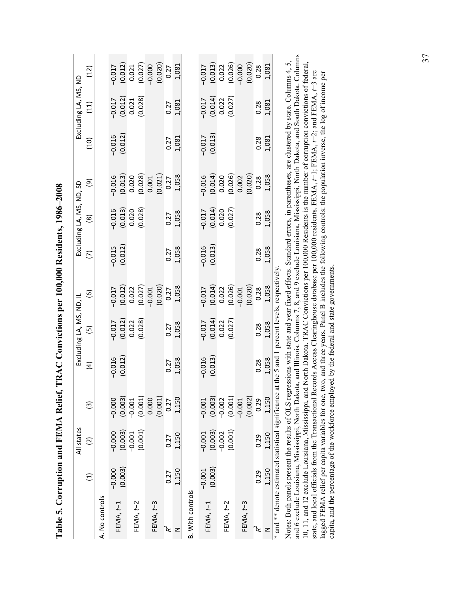<span id="page-36-0"></span>

|                                                     |          | All states           |          |                                          | Excluding LA, MS, ND, IL           |                                                                                                                                                                                            |                     | Excluding LA, MS, ND, SD                                           |                                                                           |                     | Excluding LA, MS, ND                                               |                                                                                                    |
|-----------------------------------------------------|----------|----------------------|----------|------------------------------------------|------------------------------------|--------------------------------------------------------------------------------------------------------------------------------------------------------------------------------------------|---------------------|--------------------------------------------------------------------|---------------------------------------------------------------------------|---------------------|--------------------------------------------------------------------|----------------------------------------------------------------------------------------------------|
|                                                     | Ξ        | $\widetilde{\omega}$ | ତ୍ର      | $\widehat{a}$                            | $\widehat{\mathbf{e}}$             | $\widehat{\mathbf{e}}$                                                                                                                                                                     | ε                   | $\circledR$                                                        | ම                                                                         | $\left(10\right)$   | $\left(11\right)$                                                  | (12)                                                                                               |
| A. No controls                                      |          |                      |          |                                          |                                    |                                                                                                                                                                                            |                     |                                                                    |                                                                           |                     |                                                                    |                                                                                                    |
|                                                     | $-0.000$ | $-0.000$             | $-0.000$ | $-0.016$                                 |                                    |                                                                                                                                                                                            |                     |                                                                    | $-0.016$                                                                  | $-0.016$            |                                                                    | $-0.017$                                                                                           |
| FEMA, $t-1$                                         | (0.003)  | (0.003)              | (0.003)  | (0.012)                                  | $\frac{-0.017}{(0.012)}$<br>0.012) | $\begin{bmatrix} -0.017 \ 0.012 \end{bmatrix}$<br>$\begin{bmatrix} 0.012 \ 0.027 \end{bmatrix}$<br>$\begin{bmatrix} 0.027 \ -0.001 \end{bmatrix}$<br>$\begin{bmatrix} 0.020 \end{bmatrix}$ | $-0.015$<br>(0.012) | $\begin{array}{c} -0.016 \\ (0.013) \\ 0.020 \end{array}$          | $(0.013)$<br>$0.020$<br>$(0.028)$<br>$0.001$<br>$(0.021)$<br>$0.27$       | (0.012)             | $\begin{array}{c} -0.017 \\ (0.012) \\ 0.021 \end{array}$          |                                                                                                    |
| FEMA, $t-2$                                         |          | $-0.001$             | $-0.001$ |                                          |                                    |                                                                                                                                                                                            |                     |                                                                    |                                                                           |                     |                                                                    |                                                                                                    |
|                                                     |          | (0.001)              | (0.001)  |                                          | (0.028)                            |                                                                                                                                                                                            |                     | (0.028)                                                            |                                                                           |                     | (0.028)                                                            |                                                                                                    |
|                                                     |          |                      | 0.000    |                                          |                                    |                                                                                                                                                                                            |                     |                                                                    |                                                                           |                     |                                                                    |                                                                                                    |
| FEMA, $t-3$                                         |          |                      | (0.001)  |                                          |                                    |                                                                                                                                                                                            |                     |                                                                    |                                                                           |                     |                                                                    | $\begin{array}{c} (0.012) \\ 0.021 \\ (0.027) \\ (0.010) \\ -0.000 \\ (0.020) \\ 0.27 \end{array}$ |
| $\mathbf{R}^2$                                      | 0.27     | 0.27                 | 0.27     | 0.27                                     | 0.27                               |                                                                                                                                                                                            | 0.27                | 0.27                                                               |                                                                           | 0.27                | 0.27                                                               |                                                                                                    |
| z                                                   | 1,150    | 1,150                | 1,150    | 1,058                                    | 1,058                              | 1,058                                                                                                                                                                                      | 1,058               | 1,058                                                              | 1,058                                                                     | 1,081               | 1,081                                                              | 1,081                                                                                              |
| <b>B.</b> With controls                             |          |                      |          |                                          |                                    |                                                                                                                                                                                            |                     |                                                                    |                                                                           |                     |                                                                    |                                                                                                    |
|                                                     | $-0.001$ | $-0.001$             | $-0.001$ | $-0.016$                                 |                                    |                                                                                                                                                                                            |                     |                                                                    |                                                                           |                     |                                                                    | $-0.017$                                                                                           |
| FEMA, $t-1$                                         | (0.003)  | (0.003)              | (0.003)  | (0.013)                                  | $\frac{-0.017}{(0.014)}$<br>0.022  |                                                                                                                                                                                            | $-0.016$<br>(0.013) |                                                                    |                                                                           | $-0.017$<br>(0.013) |                                                                    |                                                                                                    |
| FEMA, $t-2$                                         |          | $-0.002$             | $-0.002$ |                                          |                                    |                                                                                                                                                                                            |                     | $\begin{array}{c} -0.017 \\ (0.014) \\ 0.020 \\ 0.020 \end{array}$ |                                                                           |                     | $\begin{array}{c} -0.017 \\ (0.014) \\ 0.022 \\ 0.027 \end{array}$ |                                                                                                    |
|                                                     |          | (0.001)              | (0.001)  |                                          | (0.027)                            |                                                                                                                                                                                            |                     |                                                                    |                                                                           |                     |                                                                    |                                                                                                    |
| FEMA, t-3                                           |          |                      | $-0.001$ |                                          |                                    | $\begin{bmatrix} -0.017 \ 0.014 \end{bmatrix}$<br>$\begin{bmatrix} 0.014 \ 0.022 \end{bmatrix}$<br>$\begin{bmatrix} 0.026 \ 0.026 \end{bmatrix}$<br>$\begin{bmatrix} 0.020 \end{bmatrix}$  |                     |                                                                    | $-0.014$<br>$(0.014)$<br>$(0.026)$<br>$(0.026)$<br>$(0.020)$<br>$(0.020)$ |                     |                                                                    | $\begin{array}{c} (0.013) \\ 0.022 \\ 0.026) \\ (0.026) \\ -0.000 \\ (0.020) \end{array}$          |
|                                                     |          |                      | (0.002)  |                                          |                                    |                                                                                                                                                                                            |                     |                                                                    |                                                                           |                     |                                                                    |                                                                                                    |
| R <sup>2</sup>                                      | 0.29     | 0.29                 | 0.29     | 0.28                                     | 0.28                               | 0.28                                                                                                                                                                                       | 0.28                | 0.28                                                               | 0.28                                                                      | 0.28                | 0.28                                                               | 0.28                                                                                               |
| z                                                   | 1,150    | 1,150                | 1,150    | 1,058                                    | 1,058                              | 1,058                                                                                                                                                                                      | 1,058               | 1,058                                                              | 1,058                                                                     | 1,081               | 1,081                                                              | 1,081                                                                                              |
| and ** denote estimated statistical significance at |          |                      |          | the 5 and 1 percent levels, respectively |                                    |                                                                                                                                                                                            |                     |                                                                    |                                                                           |                     |                                                                    |                                                                                                    |

| 200< 201             |
|----------------------|
|                      |
| l                    |
| $\sim$ 0.00 $\sim$ 1 |
| 一、 " " " " " "       |
|                      |
|                      |
|                      |
|                      |
| くく・りしゃ こりこしじ         |
|                      |
|                      |
|                      |
| l                    |

and 6 exclude Louisiana, Mississippi, North Dakota, and Illinois. Columns 7, 8, and 9 exclude Louisiana, Mississippi, North Dakota, and South Dakota. Columns and 6 exclude Louisiana, Mississippi, North Dakota, and Illinois. Columns 7, 8, and 9 exclude Louisiana, Mississippi, North Dakota, and South Dakota. Columns Notes: Both panels present the results of OLS regressions with state and year fixed effects. Standard errors, in parentheses, are clustered by state. Columns 4, 5, Notes: Both panels present the results of OLS regressions with state and year fixed effects. Standard errors, in parentheses, are clustered by state. Columns 4, 5, 10, 11, and 12 exclude Louisiana, Mississippi, and North Dakota. TRAC Convictions per 100,000 Residents is the number of corruption convictions of federal, state, and local officials from the Transactional Records Access C 10, 11, and 12 exclude Louisiana, Mississippi, and North Dakota. TRAC Convictions per 100,000 Residents is the number of corruption convictions of federal, state, and local officials from the Transactional Records Access Clearinghouse database per 100,000 residents. FEMA, *t*−1; FEMA, *t*−2; and FEMA, *t*−3 are lagged FEMA relief per capita variables for one, two, and three years. Panel B includes the following controls: the population inverse, the log of income per lagged FEMA relief per capita variables for one, two, and three years. Panel B includes the following controls: the population inverse, the log of income per capita, and the percentage of the workforce employed by the federal and state governments. capita, and the percentage of the workforce employed by the federal and state governments.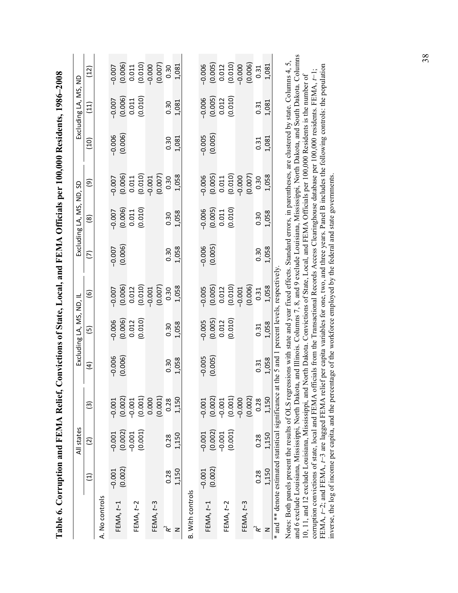<span id="page-37-0"></span>

| Table 6. Corruption and FEMA Relief,               |          |                 |                 |                                             |                          |                                                 |          |                          |          | Convictions of State, Local, and FEMA Officials per 100,000 Residents, 1986-2008 |                      |          |
|----------------------------------------------------|----------|-----------------|-----------------|---------------------------------------------|--------------------------|-------------------------------------------------|----------|--------------------------|----------|----------------------------------------------------------------------------------|----------------------|----------|
|                                                    |          | All states      |                 |                                             | Excluding LA, MS, ND, IL |                                                 |          | Excluding LA, MS, ND, SD |          |                                                                                  | Excluding LA, MS, ND |          |
|                                                    | Ξ        | $\widetilde{c}$ | $\widehat{\Xi}$ | $\widehat{a}$                               | $\widehat{5}$            | $\widehat{\mathbf{e}}$                          | ε        | $\circledast$            | ම        | (10)                                                                             | $\left(11\right)$    | (12)     |
| A. No controls                                     |          |                 |                 |                                             |                          |                                                 |          |                          |          |                                                                                  |                      |          |
|                                                    | $-0.001$ | $-0.001$        | $-0.001$        | $-0.006$                                    | $-0.006$                 | $-0.007$                                        | $-0.007$ | $-0.007$                 | $-0.007$ | $-0.006$                                                                         | $-0.007$             | $-0.007$ |
| FEMA, $t-1$                                        | (0.002)  | (0.002)         | (0.002)         | (0.006)                                     | (0.006)                  | $\begin{array}{c} (0.006) \\ 0.012 \end{array}$ | (0.006)  | (0.006)                  | (0.006)  | (0.006)                                                                          | (0.006)              | (0.006)  |
| FEMA, $t-2$                                        |          | $-0.001$        | $-0.001$        |                                             | 0.012                    |                                                 |          | 0.011                    | 0.011    |                                                                                  | 0.011                | 0.011    |
|                                                    |          | (0.001)         | (0.001)         |                                             | (0.010)                  | (0.010)                                         |          | (0.010)                  | (0.010)  |                                                                                  | (0.010)              | (0.010)  |
|                                                    |          |                 | 0.000           |                                             |                          | $-0.001$                                        |          |                          |          |                                                                                  |                      | $-0.000$ |
| FEMA, $t-3$                                        |          |                 | (0.001)         |                                             |                          | (0.007)                                         |          |                          | (0.007)  |                                                                                  |                      | (0.007)  |
| ີໂ                                                 | 0.28     | 0.28            | 0.28            | 0.30                                        | 0.30                     | 0.30                                            | 0.30     | 0.30                     | 0.30     | 0.30                                                                             | 0.30                 | 0.30     |
| z                                                  | 1,150    | 1,150           | 1,150           | 1,058                                       | 1,058                    | 1,058                                           | 1,058    | 1,058                    | 1,058    | 1,081                                                                            | 1,081                | 1,081    |
| <b>B.</b> With controls                            |          |                 |                 |                                             |                          |                                                 |          |                          |          |                                                                                  |                      |          |
|                                                    | $-0.001$ | $-0.001$        | $-0.001$        | $-0.005$                                    | $-0.005$                 | $-0.005$                                        | $-0.006$ | $-0.006$                 | $-0.006$ | $-0.005$                                                                         | $-0.006$             | $-0.006$ |
| FEMA, $t-1$                                        | (0.002)  | (0.002)         | (0.002)         | (0.005)                                     | (0.005)                  | (0.005)                                         | (0.005)  | (0.005)                  | (0.005)  | (0.005)                                                                          | (0.005)              | (0.005)  |
| FEMA, $t-2$                                        |          | $-0.001$        | $-0.001$        |                                             | 0.012                    | 0.012                                           |          | 0.011                    | 0.011    |                                                                                  | 0.012                | 0.012    |
|                                                    |          | (0.001)         | (0.001)         |                                             | (0.010)                  | (0.010)                                         |          | (0.010)                  | (0.010)  |                                                                                  | (0.010)              | (0.010)  |
| FEMA, t-3                                          |          |                 | $-0.000$        |                                             |                          | $-0.001$                                        |          |                          | $-0.000$ |                                                                                  |                      | $-0.000$ |
|                                                    |          |                 | (0.002)         |                                             |                          | (0.006)                                         |          |                          | (0.007)  |                                                                                  |                      | (0.006)  |
| $\mathbf{R}^2$                                     | 0.28     | 0.28            | 0.28            | 0.31                                        | 0.31                     | 0.31                                            | 0.30     | 0.30                     | 0.30     | 0.31                                                                             | 0.31                 | 0.31     |
| z                                                  | 1,150    | 1,150           | 1,150           | 1,058                                       | 1,058                    | 1,058                                           | 1,058    | 1,058                    | 1,058    | 1,081                                                                            | 1,081                | 1,081    |
| * and ** denote estimated statistical significance |          |                 |                 | at the 5 and 1 percent levels, respectively |                          |                                                 |          |                          |          |                                                                                  |                      |          |

and 6 exclude Louisiana, Mississippi, North Dakota, and Illinois. Columns 7, 8, and 9 exclude Louisiana, Mississippi, North Dakota, and South Dakota. Columns and 6 exclude Louisiana, Mississippi, North Dakota, and Illinois. Columns 7, 8, and 9 exclude Louisiana, Mississippi, North Dakota, and South Dakota. Columns Notes: Both panels present the results of OLS regressions with state and year fixed effects. Standard errors, in parentheses, are clustered by state. Columns 4, 5, Notes: Both panels present the results of OLS regressions with state and year fixed effects. Standard errors, in parentheses, are clustered by state. Columns 4, 5, FEMA,  $t-2$ ; and FEMA,  $t-3$  are lagged FEMA relief per capita variables for one, two, and three years. Panel B includes the following controls: the population inverse, the log of income per capita, and the percentage of FEMA, *t*−2; and FEMA, *t*−3 are lagged FEMA relief per capita variables for one, two, and three years. Panel B includes the following controls: the population corruption convictions of state, local and FEMA officials from the Transactional Records Access Clearinghouse database per 100,000 residents. FEMA, t-1; corruption convictions of state, local and FEMA officials from the Transactional Records Access Clearinghouse database per 100,000 residents. FEMA, *t*−1; 10, 11, and 12 exclude Louisiana, Mississippi, and North Dakota. Convictions of State, Local, and FEMA Officials per 100,000 Residents is the number of 10, 11, and 12 exclude Louisiana, Mississippi, and North Dakota. Convictions of State, Local, and FEMA Officials per 100,000 Residents is the number of inverse, the log of income per capita, and the percentage of the workforce employed by the federal and state governments.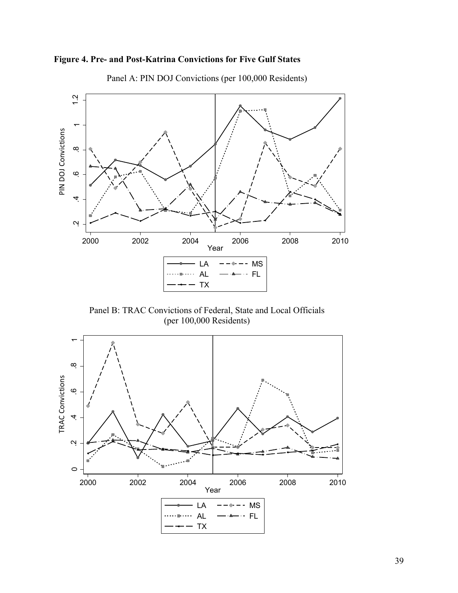<span id="page-38-0"></span>



Panel A: PIN DOJ Convictions (per 100,000 Residents)

Panel B: TRAC Convictions of Federal, State and Local Officials (per 100,000 Residents)